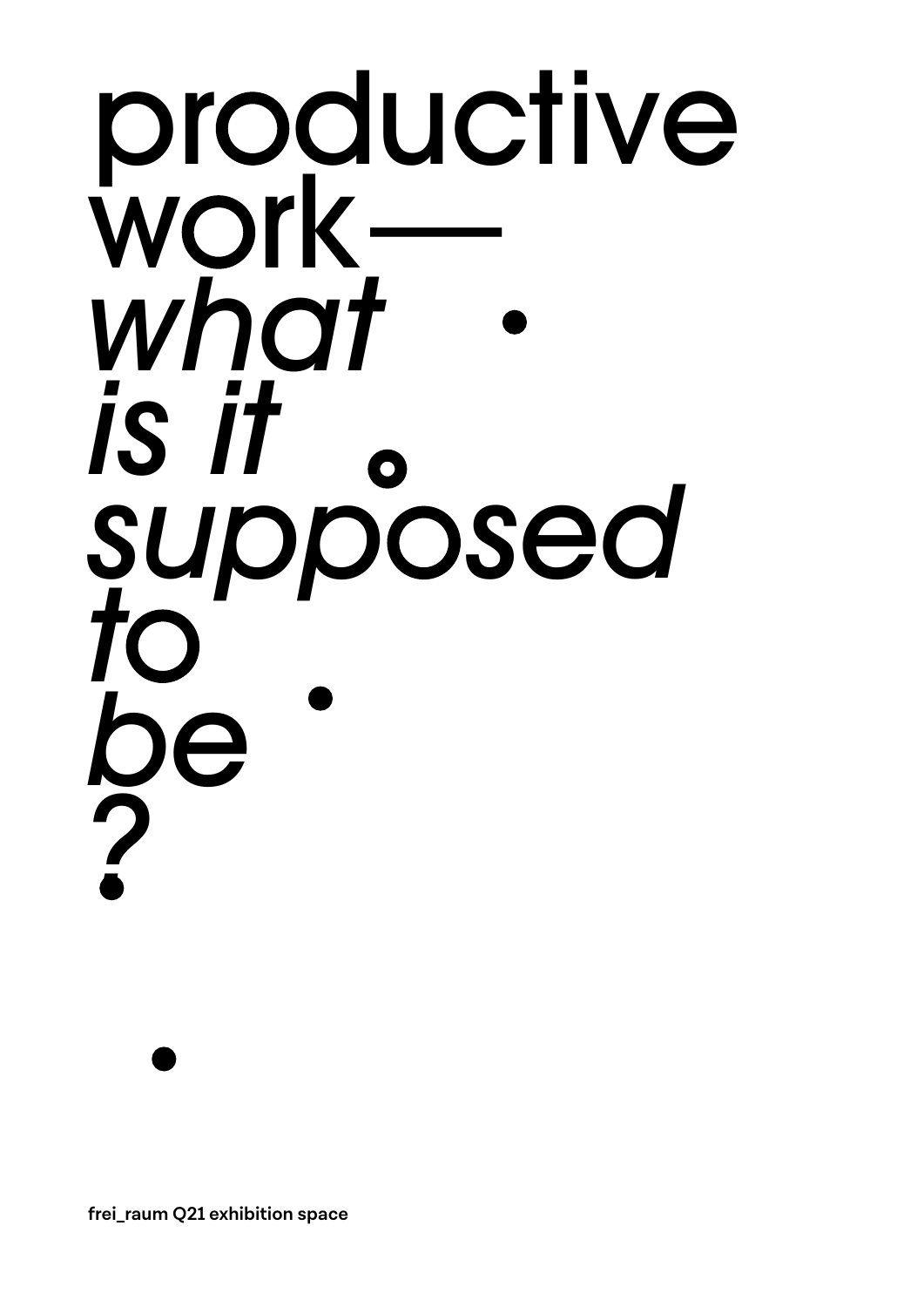## productive work *what is it supp sed t be ?*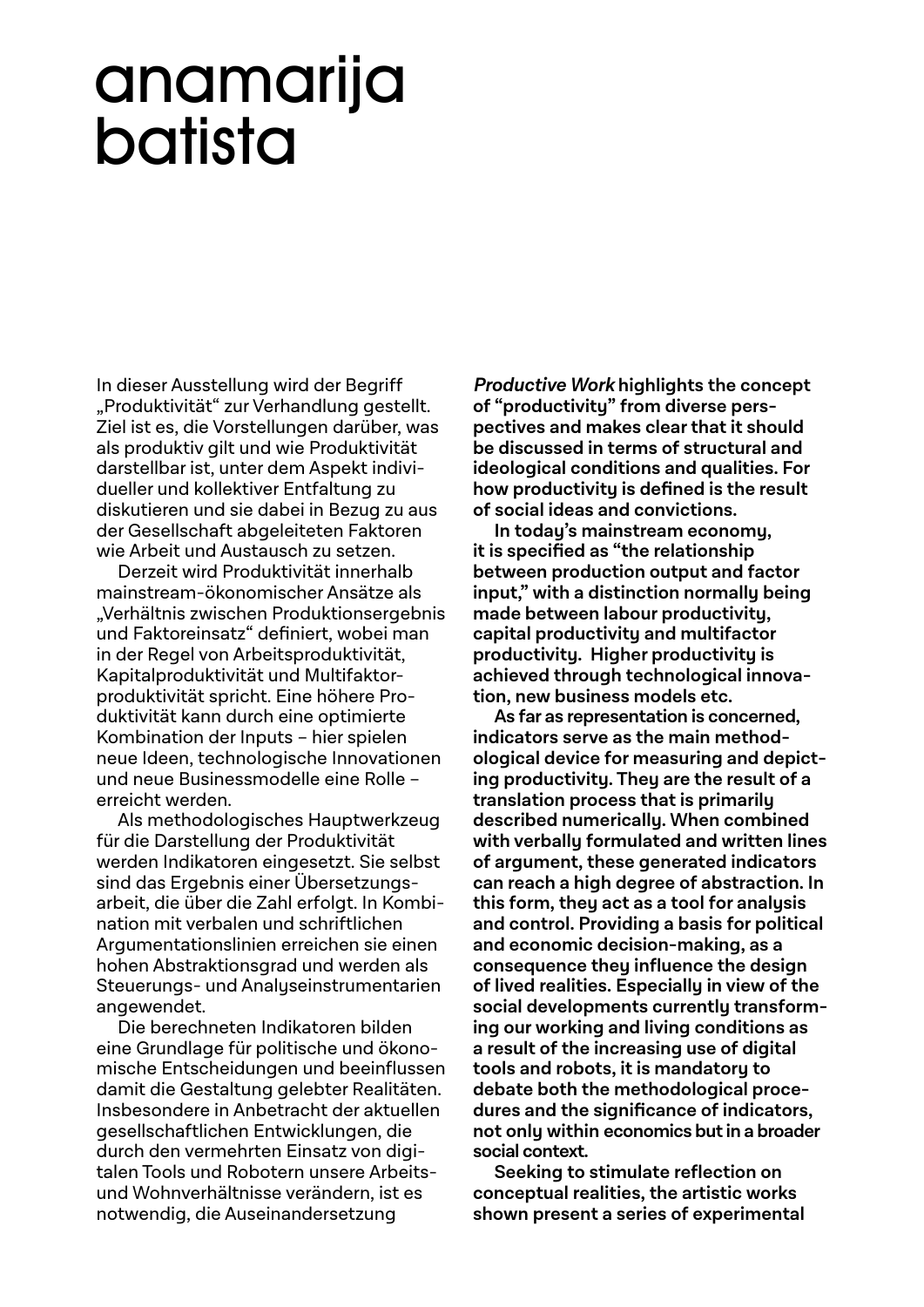### anamarija batista

In dieser Ausstellung wird der Begriff "Produktivität" zur Verhandlung gestellt. Ziel ist es, die Vorstellungen darüber, was als produktiv gilt und wie Produktivität darstellbar ist, unter dem Aspekt individueller und kollektiver Entfaltung zu diskutieren und sie dabei in Bezug zu aus der Gesellschaft abgeleiteten Faktoren wie Arbeit und Austausch zu setzen.

Derzeit wird Produktivität innerhalb mainstream-ökonomischer Ansätze als "Verhältnis zwischen Produktionsergebnis und Faktoreinsatz" definiert, wobei man in der Regel von Arbeitsproduktivität, Kapitalproduktivität und Multifaktorproduktivität spricht. Eine höhere Produktivität kann durch eine optimierte Kombination der Inputs – hier spielen neue Ideen, technologische Innovationen und neue Businessmodelle eine Rolle – erreicht werden.

Als methodologisches Hauptwerkzeug für die Darstellung der Produktivität werden Indikatoren eingesetzt. Sie selbst sind das Ergebnis einer Übersetzungsarbeit, die über die Zahl erfolgt. In Kombination mit verbalen und schriftlichen Argumentationslinien erreichen sie einen hohen Abstraktionsgrad und werden als Steuerungs- und Analyseinstrumentarien angewendet.

Die berechneten Indikatoren bilden eine Grundlage für politische und ökonomische Entscheidungen und beeinflussen damit die Gestaltung gelebter Realitäten. Insbesondere in Anbetracht der aktuellen gesellschaftlichen Entwicklungen, die durch den vermehrten Einsatz von digitalen Tools und Robotern unsere Arbeitsund Wohnverhältnisse verändern, ist es notwendig, die Auseinandersetzung

**Productive Work highlights the concept of "productivity" from diverse perspec tives and makes clear that it should be discussed in terms of structural and ideological conditions and qualities. For**  how productivity is defined is the result **of social ideas and convictions.**

**In today's mainstream economy, it is specified as "the relationship between production output and factor input," with a distinction normally being made between labour productivity, capital productivity and multifactor produc tivity. Higher productivity is achieved through technological innovation, new business models etc.**

**As far as representation is concerned,**  indicators serve as the main method**ological device for measuring and depicting productivity. They are the result of a translation process that is primarily described numerically. When combined with verbally formulated and written lines of argument, these generated indicators can reach a high degree of abstraction. In this form, they act as a tool for analysis and control. Providing a basis for political and economic decision-making, as a consequence they influence the design of lived realities. Especially in view of the social developments currently transforming our working and living conditions as a result of the increasing use of digital tools and robots, it is mandatory to debate both the methodological procedures and the significance of indicators, not only within economics but in a broader social context.** 

**Seeking to stimulate reflection on conceptual realities, the artistic works shown present a series of experimental**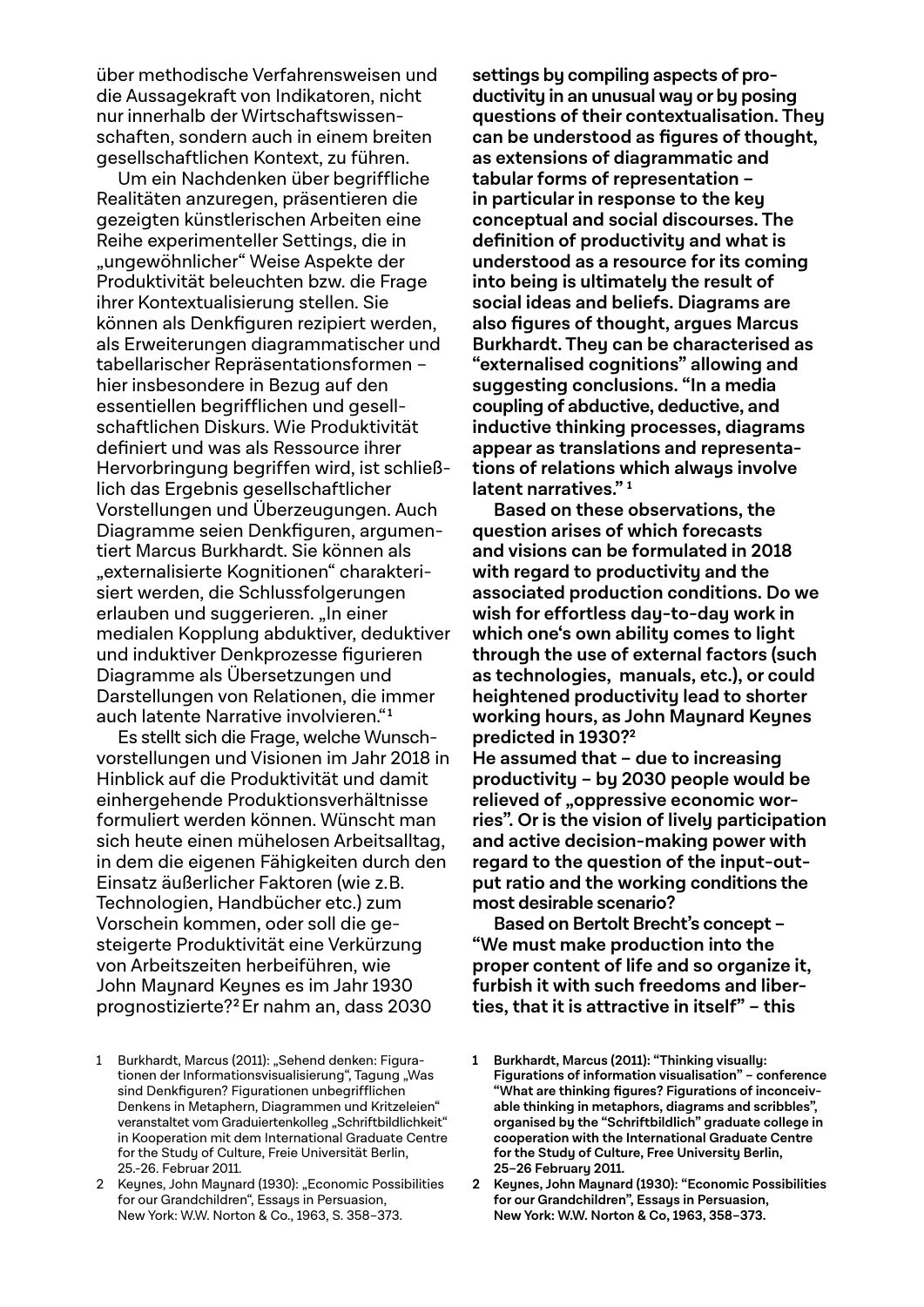über methodische Verfahrensweisen und die Aussagekraft von Indikatoren, nicht nur innerhalb der Wirtschaftswissenschaften, sondern auch in einem breiten gesellschaftlichen Kontext, zu führen.

Um ein Nachdenken über begriffliche Realitäten anzuregen, präsentieren die gezeigten künstlerischen Arbeiten eine Reihe experimenteller Settings, die in "ungewöhnlicher" Weise Aspekte der Produktivität beleuchten bzw. die Frage ihrer Kontextualisierung stellen. Sie können als Denkfiguren rezipiert werden, als Erweiterungen diagrammatischer und tabellarischer Repräsentationsformen – hier insbesondere in Bezug auf den essentiellen begrifflichen und gesellschaftlichen Diskurs. Wie Produktivität definiert und was als Ressource ihrer Hervorbringung begriffen wird, ist schließlich das Ergebnis gesellschaftlicher Vorstellungen und Überzeugungen. Auch Diagramme seien Denkfiguren, argumentiert Marcus Burkhardt. Sie können als "externalisierte Kognitionen" charakterisiert werden, die Schlussfolgerungen erlauben und suggerieren. "In einer medialen Kopplung abduktiver, deduktiver und induktiver Denkprozesse figurieren Diagramme als Übersetzungen und Darstellungen von Relationen, die immer auch latente Narrative involvieren." **<sup>1</sup>**

Es stellt sich die Frage, welche Wunschvorstellungen und Visionen im Jahr 2018 in Hinblick auf die Produktivität und damit einhergehende Produktionsverhältnisse formuliert werden können. Wünscht man sich heute einen mühelosen Arbeitsalltag, in dem die eigenen Fähigkeiten durch den Einsatz äußerlicher Faktoren (wie z. B. Technologien, Handbücher etc.) zum Vorschein kommen, oder soll die gesteigerte Produktivität eine Verkürzung von Arbeitszeiten herbeiführen, wie John Maynard Keynes es im Jahr 1930 prognostizierte? **<sup>2</sup>**Er nahm an, dass 2030

**settings by compiling aspects of productivity in an unusual way or by posing questions of their contextualisation. They can be understood as figures of thought, as extensions of diagrammatic and tabular forms of representation – in particular in response to the key conceptual and social discourses. The definition of productivity and what is understood as a resource for its coming into being is ultimately the result of social ideas and beliefs. Diagrams are also figures of thought, argues Marcus Burkhardt. They can be characterised as "externalised cognitions" allowing and suggesting conclusions. "In a media coupling of abductive, deductive, and inductive thinking processes, diagrams appear as translations and representations of relations which always involve latent narratives." <sup>1</sup>**

**Based on these observations, the question arises of which forecasts and visions can be formulated in 2018 with regard to productivity and the associated production conditions. Do we wish for effortless day-to-day work in which one's own ability comes to light through the use of external factors (such as technologies, manuals, etc.), or could heightened productivity lead to shorter working hours, as John Maynard Keynes predicted in 1930?<sup>2</sup>**

**He assumed that – due to increasing productivity – by 2030 people would be**  relieved of "oppressive economic worries". Or is the vision of lively participation **and active decision-making power with regard to the question of the input-output ratio and the working conditions the most desirable scenario?**

**Based on Bertolt Brecht's concept – "We must make production into the proper content of life and so organize it, furbish it with such freedoms and liberties, that it is attractive in itself" – this** 

<sup>1</sup> Burkhardt, Marcus (2011): "Sehend denken: Figurationen der Informationsvisualisierung", Tagung "Was sind Denkfiguren? Figurationen unbegrifflichen Denkens in Metaphern, Diagrammen und Kritzeleien" veranstaltet vom Graduiertenkolleg "Schriftbildlichkeit" in Kooperation mit dem International Graduate Centre for the Study of Culture, Freie Universität Berlin, 25.-26. Februar 2011.

<sup>2</sup> Keynes, John Maynard (1930): "Economic Possibilities for our Grandchildren", Essays in Persuasion, New York: W.W. Norton & Co., 1963, S. 358–373.

**<sup>1</sup> Burkhardt, Marcus (2011): "Thinking visually: Figurations of information visualisation" – conference**  "What are thinking figures? Figurations of inconceiv**able thinking in metaphors, diagrams and scribbles", organised by the "Schriftbildlich" graduate college in cooperation with the International Graduate Centre for the Study of Culture, Free University Berlin, 25–26 February 2011.**

**<sup>2</sup> Keynes, John Maynard (1930): "Economic Possibilities for our Grandchildren", Essays in Persuasion, New York: W.W. Norton & Co, 1963, 358–373.**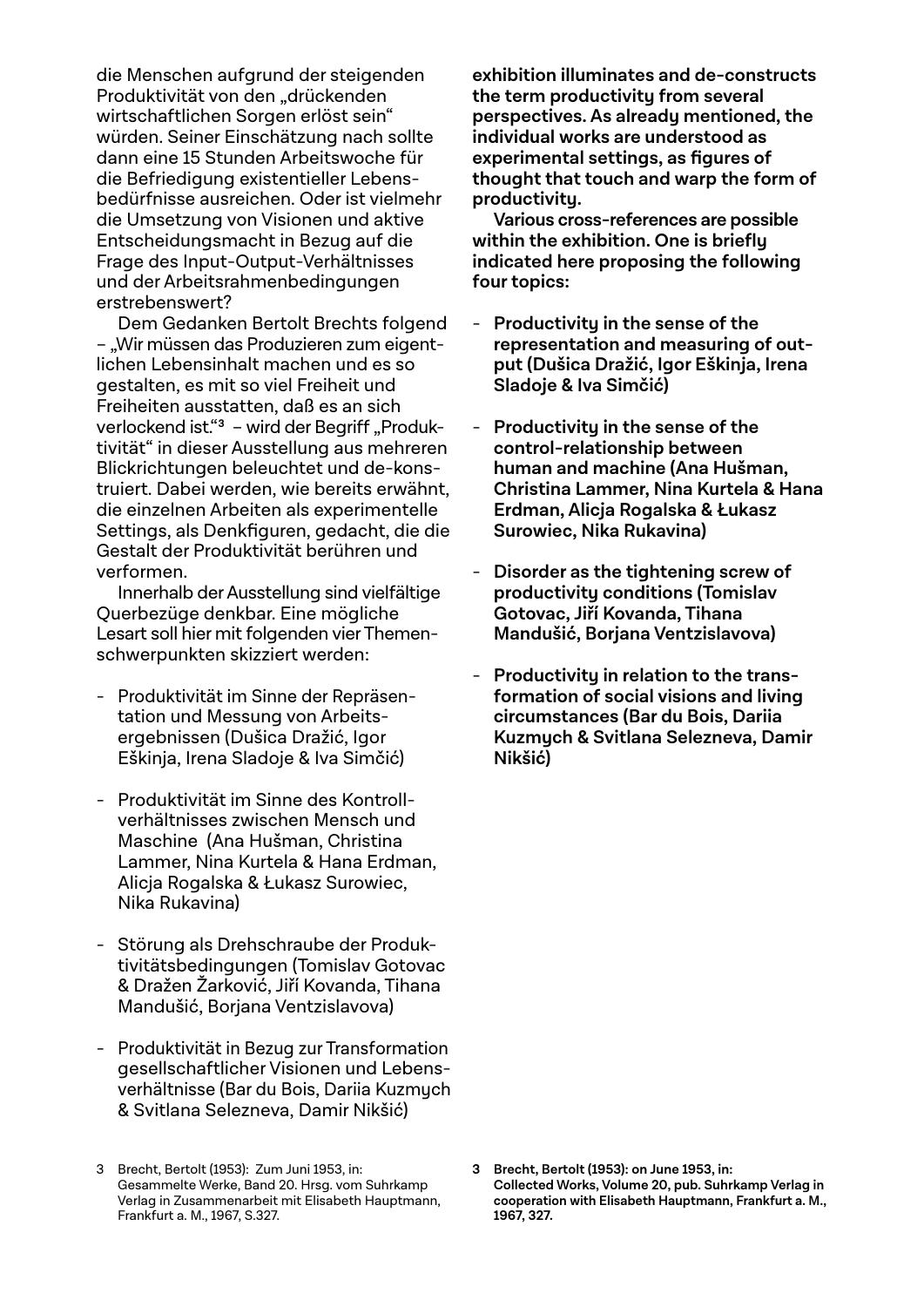die Menschen aufgrund der steigenden Produktivität von den "drückenden wirtschaftlichen Sorgen erlöst sein" würden. Seiner Einschätzung nach sollte dann eine 15 Stunden Arbeitswoche für die Befriedigung existentieller Lebensbedürfnisse ausreichen. Oder ist vielmehr die Umsetzung von Visionen und aktive Entscheidungsmacht in Bezug auf die Frage des Input-Output-Verhältnisses und der Arbeitsrahmenbedingungen erstrebenswert?

Dem Gedanken Bertolt Brechts folgend – "Wir müssen das Produzieren zum eigentlichen Lebensinhalt machen und es so gestalten, es mit so viel Freiheit und Freiheiten ausstatten, daß es an sich verlockend ist."<sup>3</sup> – wird der Begriff "Produktivität" in dieser Ausstellung aus mehreren Blickrichtungen beleuchtet und de-konstruiert. Dabei werden, wie bereits erwähnt, die einzelnen Arbeiten als experimentelle Settings, als Denkfiguren, gedacht, die die Gestalt der Produktivität berühren und verformen.

Innerhalb der Ausstellung sind vielfältige Querbezüge denkbar. Eine mögliche Lesart soll hier mit folgenden vier Themenschwerpunkten skizziert werden:

- Produktivität im Sinne der Repräsentation und Messung von Arbeitsergebnissen (Dušica Dražić, Igor Eškinja, Irena Sladoje & Iva Simčić)
- Produktivität im Sinne des Kontrollverhältnisses zwischen Mensch und Maschine (Ana Hušman, Christina Lammer, Nina Kurtela & Hana Erdman, Alicja Rogalska & Łukasz Surowiec, Nika Rukavina)
- Störung als Drehschraube der Produktivitätsbedingungen (Tomislav Gotovac & Dražen Žarković, Jiří Kovanda, Tihana Mandušić, Borjana Ventzislavova)
- Produktivität in Bezug zur Transformation gesellschaftlicher Visionen und Lebensverhältnisse (Bar du Bois, Dariia Kuzmych & Svitlana Selezneva, Damir Nikšić)

**exhibition illuminates and de-constructs the term productivity from several perspectives. As already mentioned, the individual works are understood as experimental settings, as figures of thought that touch and warp the form of productivity.**

**Various cross-references are possible within the exhibition. One is briefly indicated here proposing the following four topics:** 

- - **Productivity in the sense of the representation and measuring of output (Dušica Dražić, Igor Eškinja, Irena Sladoje & Iva Simčić)**
- - **Productivity in the sense of the control-relationship between human and machine (Ana Hušman, Christina Lammer, Nina Kurtela & Hana Erdman, Alicja Rogalska & Łukasz Surowiec, Nika Rukavina)**
- - **Disorder as the tightening screw of productivity conditions (Tomislav Gotovac, Jiří Kovanda, Tihana Mandušić, Borjana Ventzislavova)**
- - **Productivity in relation to the transformation of social visions and living circumstances (Bar du Bois, Dariia Kuzmych & Svitlana Selezneva, Damir Nikšić)**

**3 Brecht, Bertolt (1953): on June 1953, in: Collected Works, Volume 20, pub. Suhrkamp Verlag in cooperation with Elisabeth Hauptmann, Frankfurt a. M., 1967, 327.**

<sup>3</sup> Brecht, Bertolt (1953): Zum Juni 1953, in: Gesammelte Werke, Band 20. Hrsg. vom Suhrkamp Verlag in Zusammenarbeit mit Elisabeth Hauptmann, Frankfurt a. M., 1967, S.327.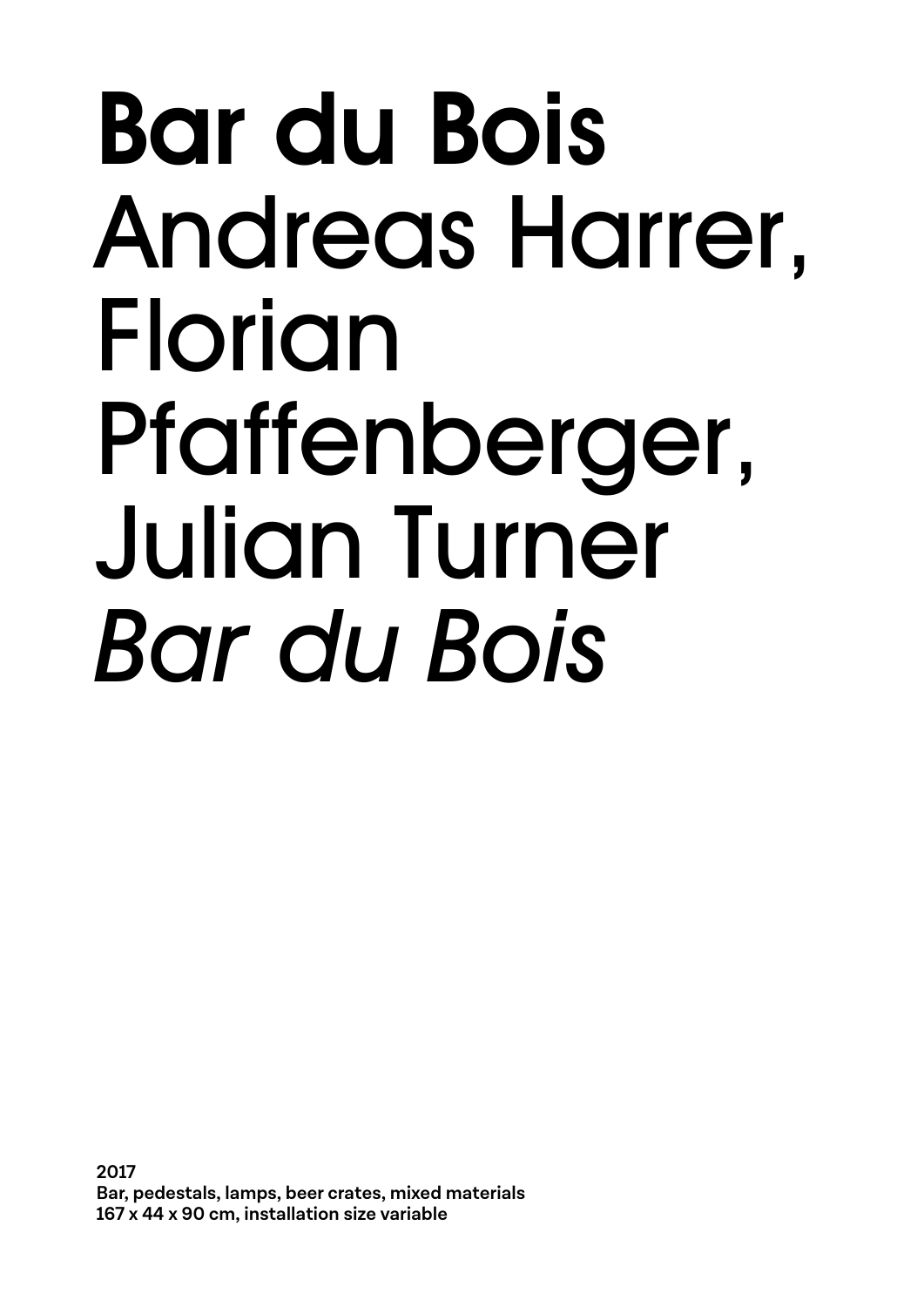### Bar du Bois Andreas Harrer, Florian Pfaffenberger, Julian Turner *Bar du Bois*

**2017 Bar, pedestals, lamps, beer crates, mixed materials 167 x 44 x 90 cm, installation size variable**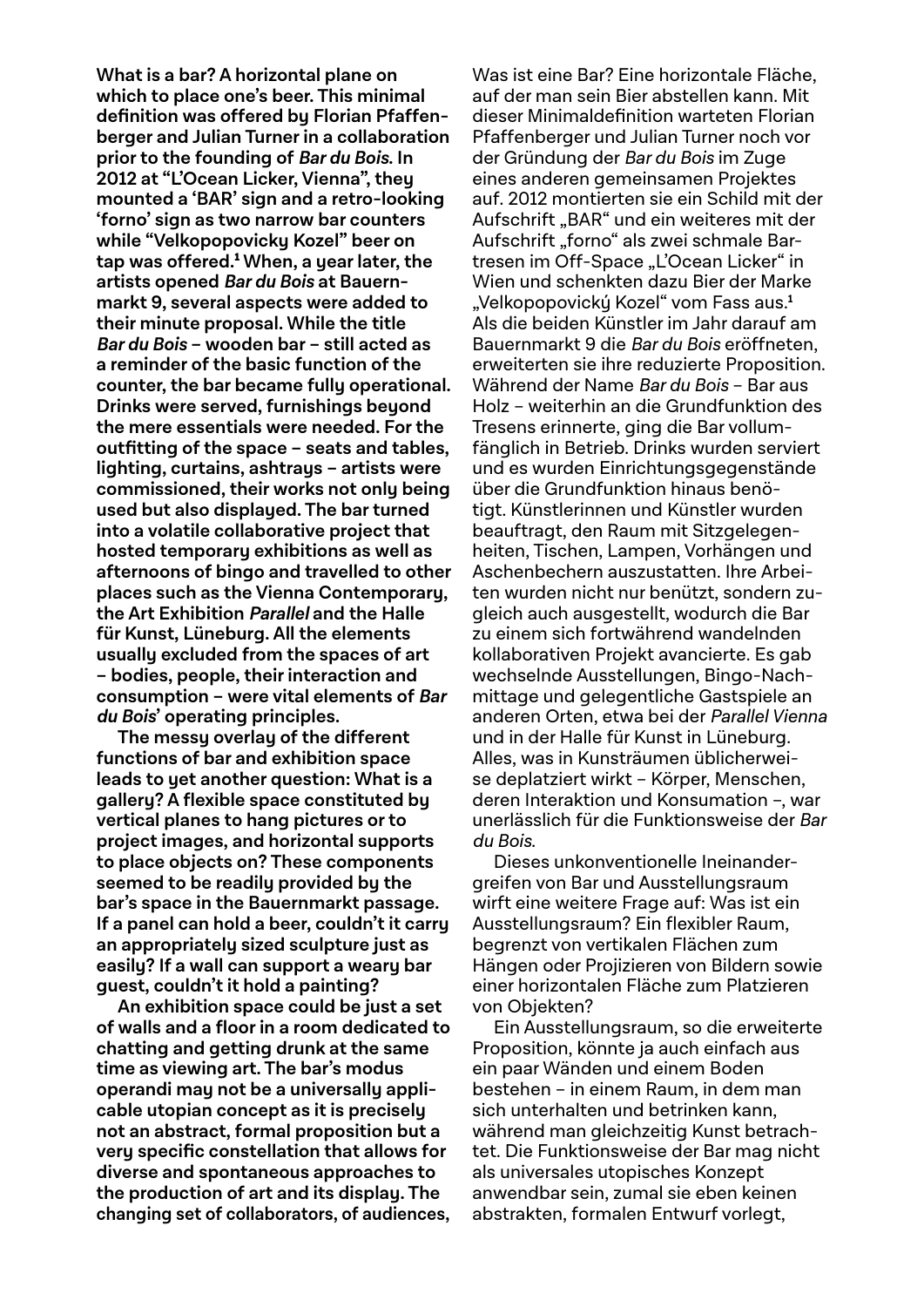**What is a bar? A horizontal plane on which to place one's beer. This minimal**  definition was offered bu Florian Pfaffen**berger and Julian Turner in a collaboration prior to the founding of Bar du Bois. In 2012 at "L'Ocean Licker, Vienna", they mounted a 'BAR' sign and a retro-looking 'forno' sign as two narrow bar counters while "Velkopopovicky Kozel" beer on tap was offered.**<sup>1</sup>  **When, a year later, the artists opened Bar du Bois at Bauernmarkt 9, several aspects were added to their minute proposal. While the title Bar du Bois – wooden bar – still acted as a reminder of the basic function of the counter, the bar became fully operational. Drinks were served, furnishings beyond the mere essentials were needed. For the outfi tting of the space – seats and tables, lighting, curtains, ashtrays – artists were commissioned, their works not only being used but also displayed. The bar turned into a volatile collaborative project that hosted temporary exhibitions as well as afternoons of bingo and travelled to other places such as the Vienna Contemporary, the Art Exhibition Parallel and the Halle für Kunst, Lüneburg. All the elements usually excluded from the spaces of art – bodies, people, their interaction and consumption – were vital elements of Bar du Bois' operating principles.**

**The messy overlay of the different functions of bar and exhibition space leads to yet another question: What is a gallery? A flexible space constituted by vertical planes to hang pictures or to project images, and horizontal supports to place objects on? These components seemed to be readily provided by the bar's space in the Bauernmarkt passage. If a panel can hold a beer, couldn't it carry an appropriately sized sculpture just as easily? If a wall can support a weary bar guest, couldn't it hold a painting?** 

**An exhibition space could be just a set of walls and a floor in a room dedicated to chatting and getting drunk at the same time as viewing art. The bar's modus operandi may not be a universally applicable utopian concept as it is precisely not an abstract, formal proposition but a very specific constellation that allows for diverse and spontaneous approaches to the production of art and its display. The changing set of collaborators, of audiences,**

Was ist eine Bar? Eine horizontale Fläche, auf der man sein Bier abstellen kann. Mit dieser Minimaldefinition warteten Florian Pfaffenberger und Julian Turner noch vor der Gründung der Bar du Bois im Zuge eines anderen gemeinsamen Projektes auf. 2012 montierten sie ein Schild mit der Aufschrift "BAR" und ein weiteres mit der Aufschrift "forno" als zwei schmale Bartresen im Off-Space "L'Ocean Licker" in Wien und schenkten dazu Bier der Marke "Velkopopovický Kozel" vom Fass aus.**<sup>1</sup>** Als die beiden Künstler im Jahr darauf am Bauernmarkt 9 die Bar du Bois eröffneten, erweiterten sie ihre reduzierte Proposition. Während der Name Bar du Bois – Bar aus Holz – weiterhin an die Grundfunktion des Tresens erinnerte, ging die Bar vollumfänglich in Betrieb. Drinks wurden serviert und es wurden Einrichtungsgegenstände über die Grundfunktion hinaus benötigt. Künstlerinnen und Künstler wurden beauftragt, den Raum mit Sitzgelegenheiten, Tischen, Lampen, Vorhängen und Aschenbechern auszustatten. Ihre Arbeiten wurden nicht nur benützt, sondern zugleich auch ausgestellt, wodurch die Bar zu einem sich fortwährend wandelnden kollaborativen Projekt avancierte. Es gab wechselnde Ausstellungen, Bingo-Nachmittage und gelegentliche Gastspiele an anderen Orten, etwa bei der Parallel Vienna und in der Halle für Kunst in Lüneburg. Alles, was in Kunsträumen üblicherweise deplatziert wirkt – Körper, Menschen, deren Interaktion und Konsumation –, war unerlässlich für die Funktionsweise der Bar du Bois.

Dieses unkonventionelle Ineinandergreifen von Bar und Ausstellungsraum wirft eine weitere Frage auf: Was ist ein Ausstellungsraum? Ein flexibler Raum, begrenzt von vertikalen Flächen zum Hängen oder Projizieren von Bildern sowie einer horizontalen Fläche zum Platzieren von Objekten?

Ein Ausstellungsraum, so die erweiterte Proposition, könnte ja auch einfach aus ein paar Wänden und einem Boden bestehen – in einem Raum, in dem man sich unterhalten und betrinken kann, während man gleichzeitig Kunst betrachtet. Die Funktionsweise der Bar mag nicht als universales utopisches Konzept anwendbar sein, zumal sie eben keinen abstrakten, formalen Entwurf vorlegt,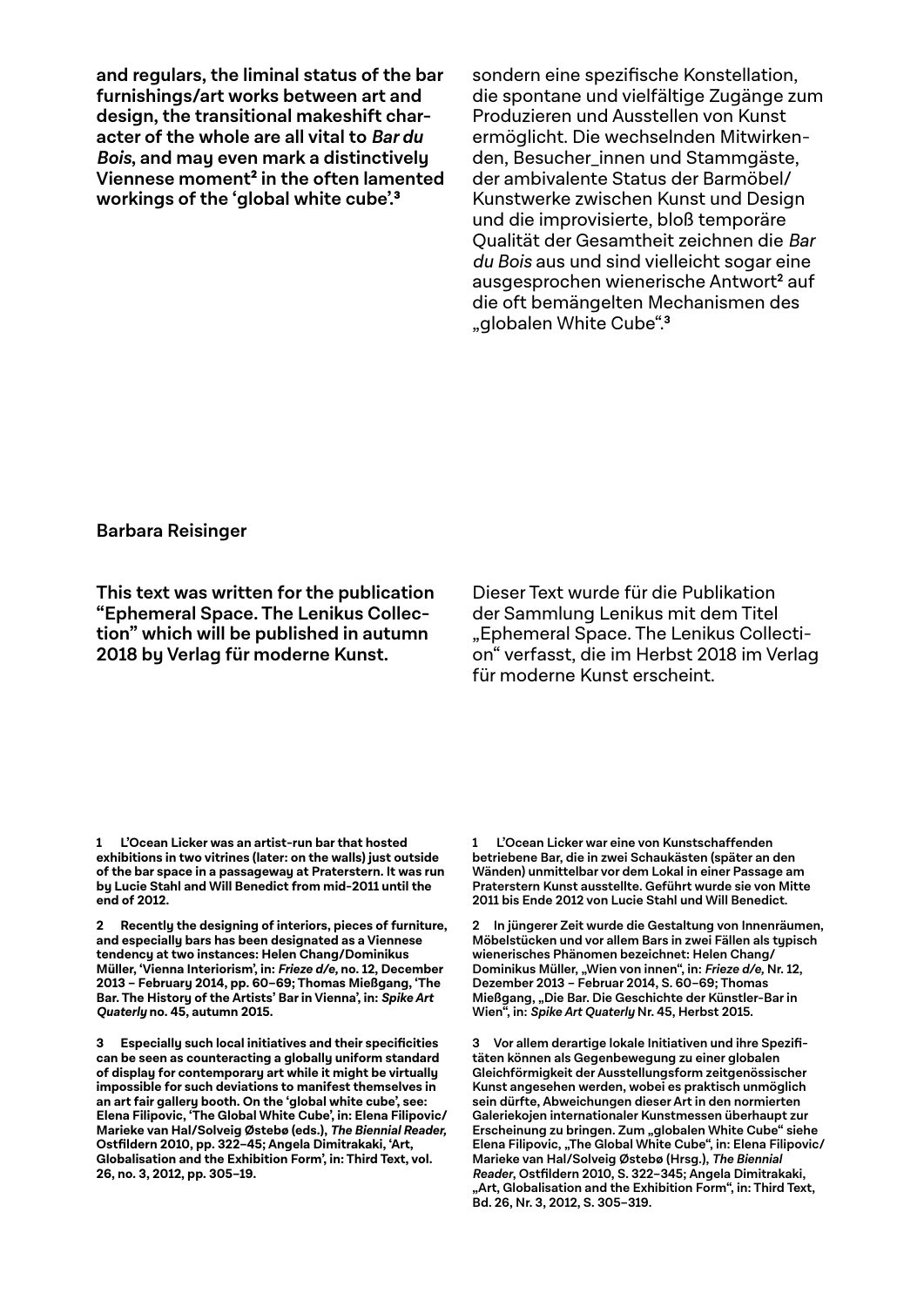**and regulars, the liminal status of the bar furnishings/art works between art and design, the transitional makeshift character of the whole are all vital to Bar du Bois, and may even mark a distinctively Viennese moment**<sup>2</sup>  **in the often lamented workings of the 'global white cube'.**<sup>3</sup>

sondern eine spezifische Konstellation, die spontane und vielfältige Zugänge zum Produzieren und Ausstellen von Kunst ermöglicht. Die wechselnden Mitwirkenden, Besucher\_innen und Stammgäste, der ambivalente Status der Barmöbel/ Kunstwerke zwischen Kunst und Design und die improvisierte, bloß temporäre Qualität der Gesamtheit zeichnen die Bar du Bois aus und sind vielleicht sogar eine ausgesprochen wienerische Antwort**<sup>2</sup>** auf die oft bemängelten Mechanismen des "globalen White Cube".**<sup>3</sup>**

### **Barbara Reisinger**

**This text was written for the publication "Ephemeral Space. The Lenikus Collection" which will be published in autumn 2018 by Verlag für moderne Kunst.**

Dieser Text wurde für die Publikation der Sammlung Lenikus mit dem Titel "Ephemeral Space. The Lenikus Collection" verfasst, die im Herbst 2018 im Verlag für moderne Kunst erscheint.

**1 L'Ocean Licker was an artist-run bar that hosted exhibitions in two vitrines (later: on the walls) just outside of the bar space in a passageway at Praterstern. It was run by Lucie Stahl and Will Benedict from mid-2011 until the end of 2012.**

**2 Recently the designing of interiors, pieces of furniture, and especially bars has been designated as a Viennese tendency at two instances: Helen Chang/Dominikus Müller, 'Vienna Interiorism', in: Frieze d/e, no. 12, December 2013 – February 2014, pp. 60–69; Thomas Mießgang, 'The Bar. The History of the Artists' Bar in Vienna', in: Spike Art Quaterly no. 45, autumn 2015.**

**3 Especially such local initiatives and their specificities can be seen as counteracting a globally uniform standard of display for contemporary art while it might be virtually impossible for such deviations to manifest themselves in an art fair gallery booth. On the 'global white cube', see: Elena Filipovic, 'The Global White Cube', in: Elena Filipovic/ Marieke van Hal/Solveig Østebø (eds.), The Biennial Reader, Ostfildern 2010, pp. 322–45; Angela Dimitrakaki, 'Art, Globalisation and the Exhibition Form', in: Third Text, vol. 26, no. 3, 2012, pp. 305–19.**

**1 L'Ocean Licker war eine von Kunstschaffenden betriebene Bar, die in zwei Schaukästen (später an den Wänden) unmittelbar vor dem Lokal in einer Passage am Praterstern Kunst ausstellte. Geführt wurde sie von Mitte 2011 bis Ende 2012 von Lucie Stahl und Will Benedict.**

**2 In jüngerer Zeit wurde die Gestaltung von Innenräumen, Möbelstücken und vor allem Bars in zwei Fällen als typisch wienerisches Phänomen bezeichnet: Helen Chang/ Dominikus Müller, "Wien von innen", in: Frieze d/e, Nr. 12, Dezember 2013 – Februar 2014, S. 60–69; Thomas Mießgang, "Die Bar. Die Geschichte der Künstler-Bar in Wien", in: Spike Art Quaterly Nr. 45, Herbst 2015.**

**3 Vor allem derartige lokale Initiativen und ihre Spezifitäten können als Gegenbewegung zu einer globalen Gleichförmigkeit der Ausstellungsform zeitgenössischer Kunst angesehen werden, wobei es praktisch unmöglich sein dürfte, Abweichungen dieser Art in den normierten Galeriekojen internationaler Kunstmessen überhaupt zur Erscheinung zu bringen. Zum "globalen White Cube" siehe Elena Filipovic, "The Global White Cube", in: Elena Filipovic/ Marieke van Hal/Solveig Østebø (Hrsg.), The Biennial Reader, Ostfildern 2010, S. 322–345; Angela Dimitrakaki, "Art, Globalisation and the Exhibition Form", in: Third Text, Bd. 26, Nr. 3, 2012, S. 305–319.**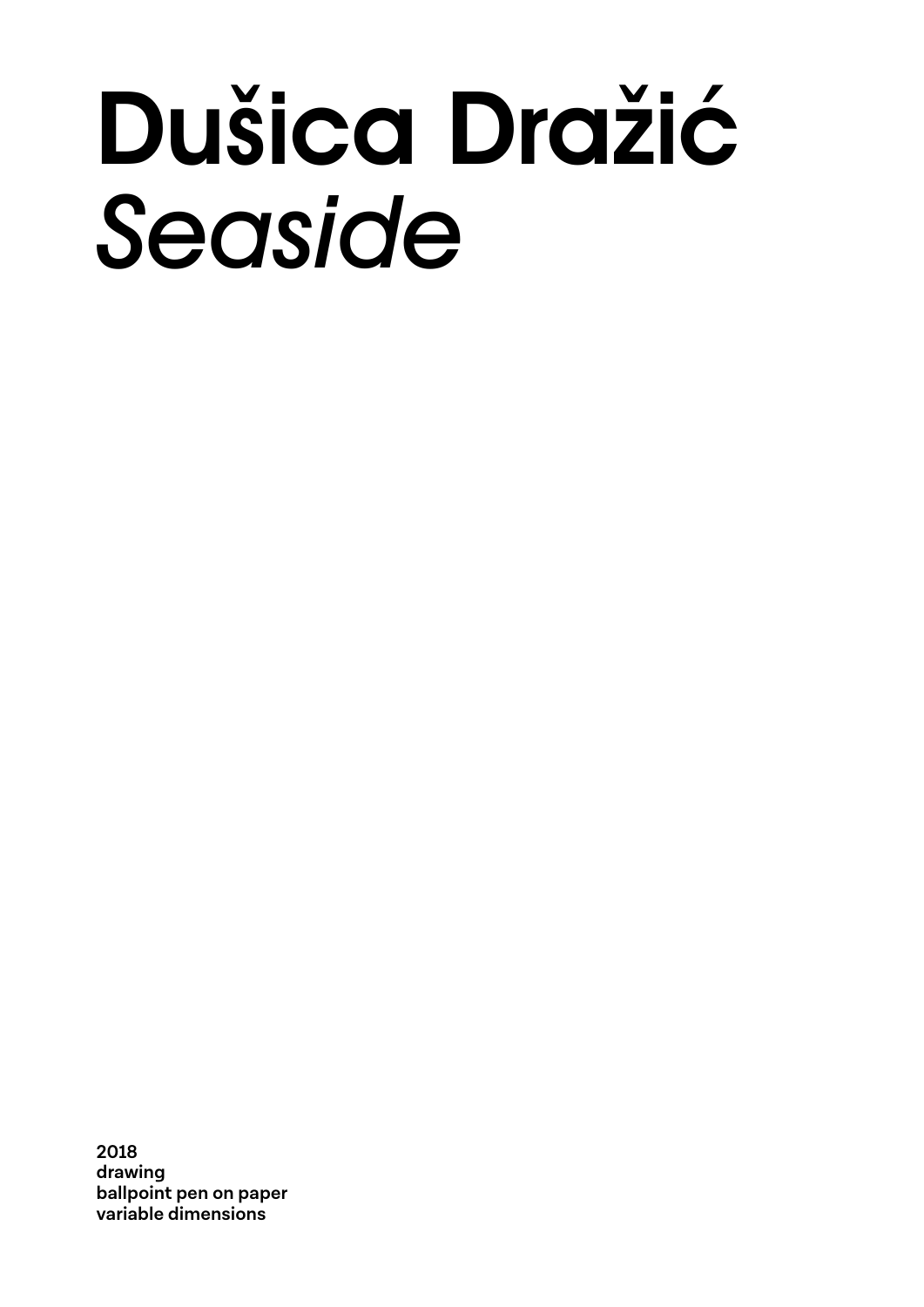### Dušica Dražić *Seaside*

**2018 drawing ballpoint pen on paper variable dimensions**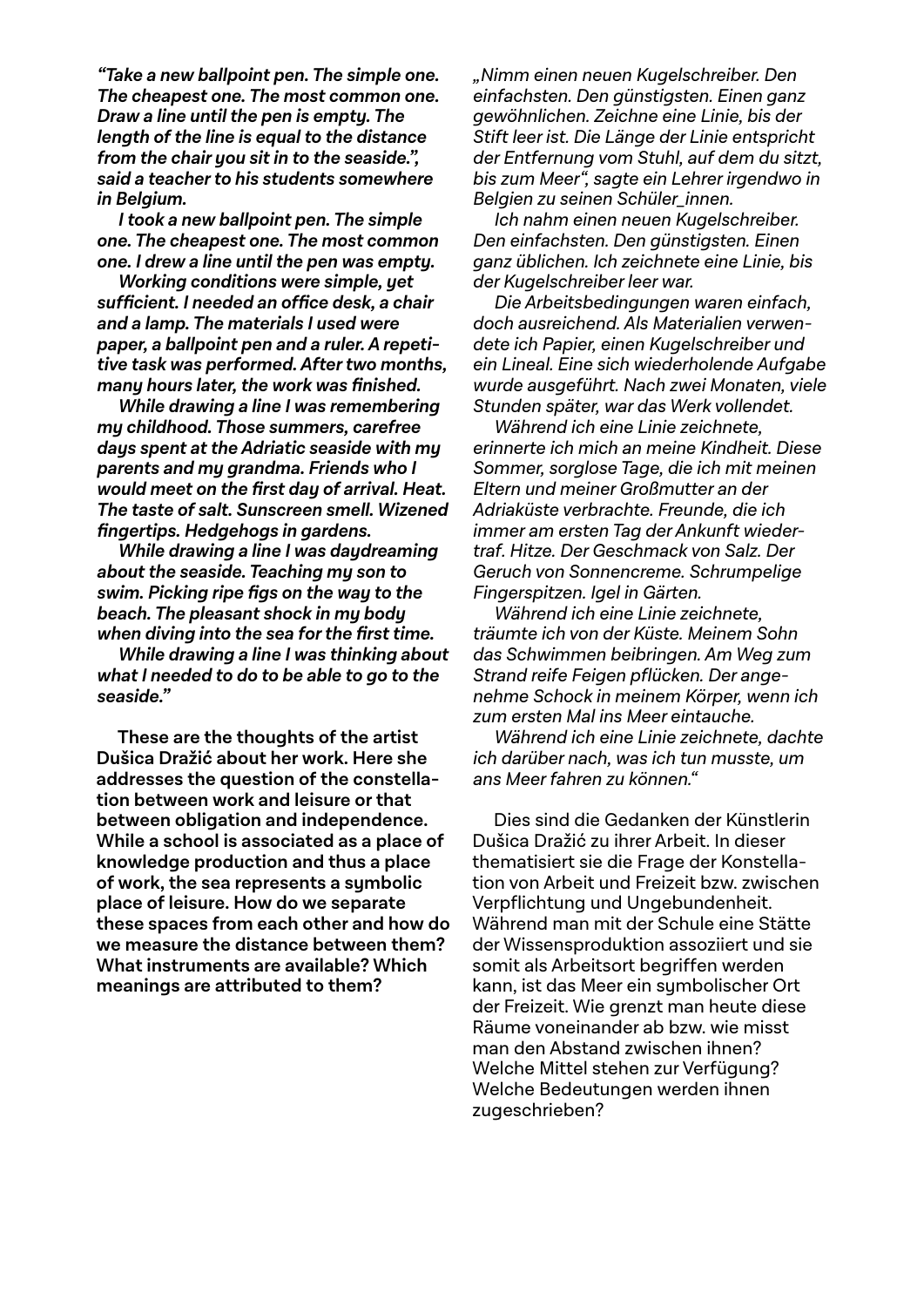**"Take a new ballpoint pen. The simple one. The cheapest one. The most common one. Draw a line until the pen is empty. The length of the line is equal to the distance from the chair you sit in to the seaside.", said a teacher to his students somewhere in Belgium.**

**I took a new ballpoint pen. The simple one. The cheapest one. The most common one. I drew a line until the pen was empty.** 

**Working conditions were simple, yet sufficient. I needed an office desk, a chair and a lamp. The materials I used were paper, a ballpoint pen and a ruler. A repetitive task was performed. After two months, many hours later, the work was finished.**

**While drawing a line I was remembering my childhood. Those summers, carefree days spent at the Adriatic seaside with my parents and my grandma. Friends who I would meet on the first day of arrival. Heat. The taste of salt. Sunscreen smell. Wizened fingertips. Hedgehogs in gardens.**

**While drawing a line I was daydreaming about the seaside. Teaching my son to swim. Picking ripe figs on the way to the beach. The pleasant shock in my body when diving into the sea for the first time.**

**While drawing a line I was thinking about what I needed to do to be able to go to the seaside."**

**These are the thoughts of the artist Dušica Dražić about her work. Here she addresses the question of the constellation between work and leisure or that between obligation and independence. While a school is associated as a place of knowledge production and thus a place of work, the sea represents a symbolic place of leisure. How do we separate these spaces from each other and how do we measure the distance between them? What instruments are available? Which meanings are attributed to them?**

"Nimm einen neuen Kugelschreiber. Den einfachsten. Den günstigsten. Einen ganz gewöhnlichen. Zeichne eine Linie, bis der Stift leer ist. Die Länge der Linie entspricht der Entfernung vom Stuhl, auf dem du sitzt, bis zum Meer", sagte ein Lehrer irgendwo in Belgien zu seinen Schüler\_innen.

Ich nahm einen neuen Kugelschreiber. Den einfachsten. Den günstigsten. Einen ganz üblichen. Ich zeichnete eine Linie, bis der Kugelschreiber leer war.

Die Arbeitsbedingungen waren einfach, doch ausreichend. Als Materialien verwendete ich Papier, einen Kugelschreiber und ein Lineal. Eine sich wiederholende Aufgabe wurde ausgeführt. Nach zwei Monaten, viele Stunden später, war das Werk vollendet.

Während ich eine Linie zeichnete, erinnerte ich mich an meine Kindheit. Diese Sommer, sorglose Tage, die ich mit meinen Eltern und meiner Großmutter an der Adriaküste verbrachte. Freunde, die ich immer am ersten Tag der Ankunft wiedertraf. Hitze. Der Geschmack von Salz. Der Geruch von Sonnencreme. Schrumpelige Fingerspitzen. Igel in Gärten.

Während ich eine Linie zeichnete, träumte ich von der Küste. Meinem Sohn das Schwimmen beibringen. Am Weg zum Strand reife Feigen pflücken. Der angenehme Schock in meinem Körper, wenn ich zum ersten Mal ins Meer eintauche.

Während ich eine Linie zeichnete, dachte ich darüber nach, was ich tun musste, um ans Meer fahren zu können."

Dies sind die Gedanken der Künstlerin Dušica Dražić zu ihrer Arbeit. In dieser thematisiert sie die Frage der Konstellation von Arbeit und Freizeit bzw. zwischen Verpflichtung und Ungebundenheit. Während man mit der Schule eine Stätte der Wissensproduktion assoziiert und sie somit als Arbeitsort begriffen werden kann, ist das Meer ein symbolischer Ort der Freizeit. Wie grenzt man heute diese Räume voneinander ab bzw. wie misst man den Abstand zwischen ihnen? Welche Mittel stehen zur Verfügung? Welche Bedeutungen werden ihnen zugeschrieben?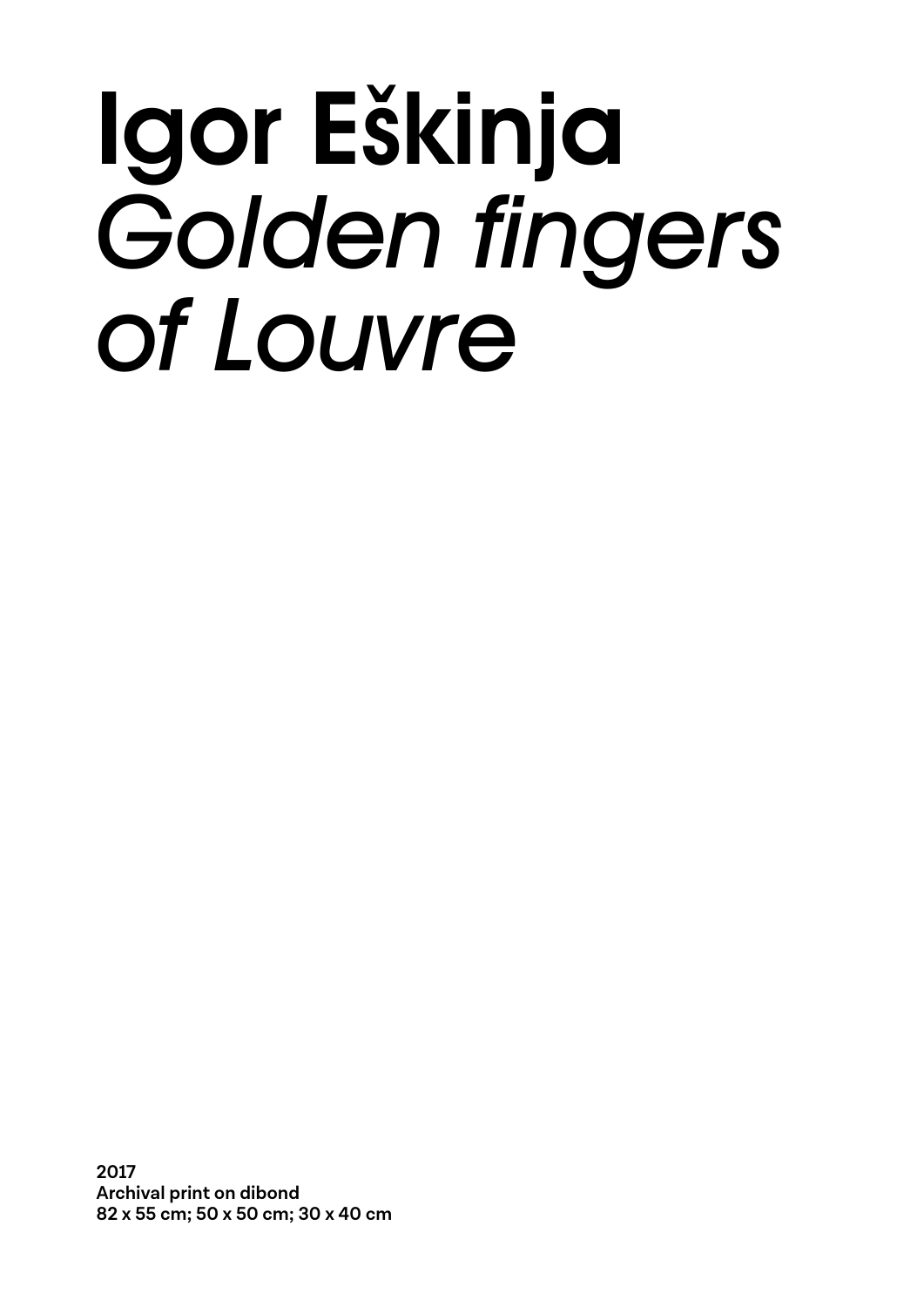### Igor Eškinja Golden fingers *of Louvre*

**2017 Archival print on dibond 82 x 55 cm; 50 x 50 cm; 30 x 40 cm**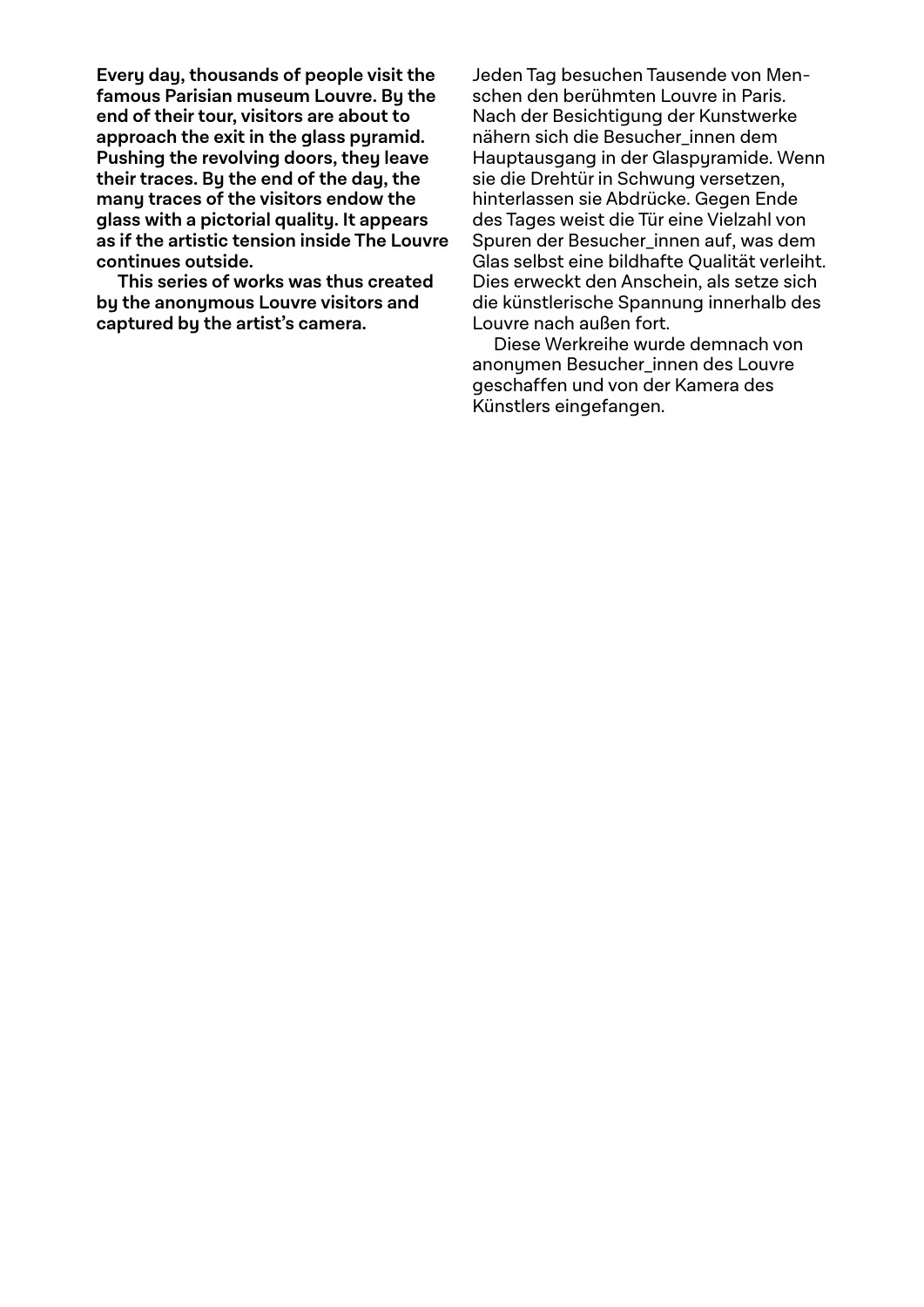**Every day, thousands of people visit the famous Parisian museum Louvre. By the end of their tour, visitors are about to approach the exit in the glass pyramid. Pushing the revolving doors, they leave their traces. By the end of the day, the many traces of the visitors endow the glass with a pictorial quality. It appears as if the artistic tension inside The Louvre continues outside.**

**This series of works was thus created by the anonymous Louvre visitors and captured by the artist's camera.**

Jeden Tag besuchen Tausende von Menschen den berühmten Louvre in Paris. Nach der Besichtigung der Kunstwerke nähern sich die Besucher innen dem Hauptausgang in der Glaspyramide. Wenn sie die Drehtür in Schwung versetzen, hinterlassen sie Abdrücke. Gegen Ende des Tages weist die Tür eine Vielzahl von Spuren der Besucher\_innen auf, was dem Glas selbst eine bildhafte Qualität verleiht. Dies erweckt den Anschein, als setze sich die künstlerische Spannung innerhalb des Louvre nach außen fort.

Diese Werkreihe wurde demnach von anonymen Besucher innen des Louvre geschaffen und von der Kamera des Künstlers eingefangen.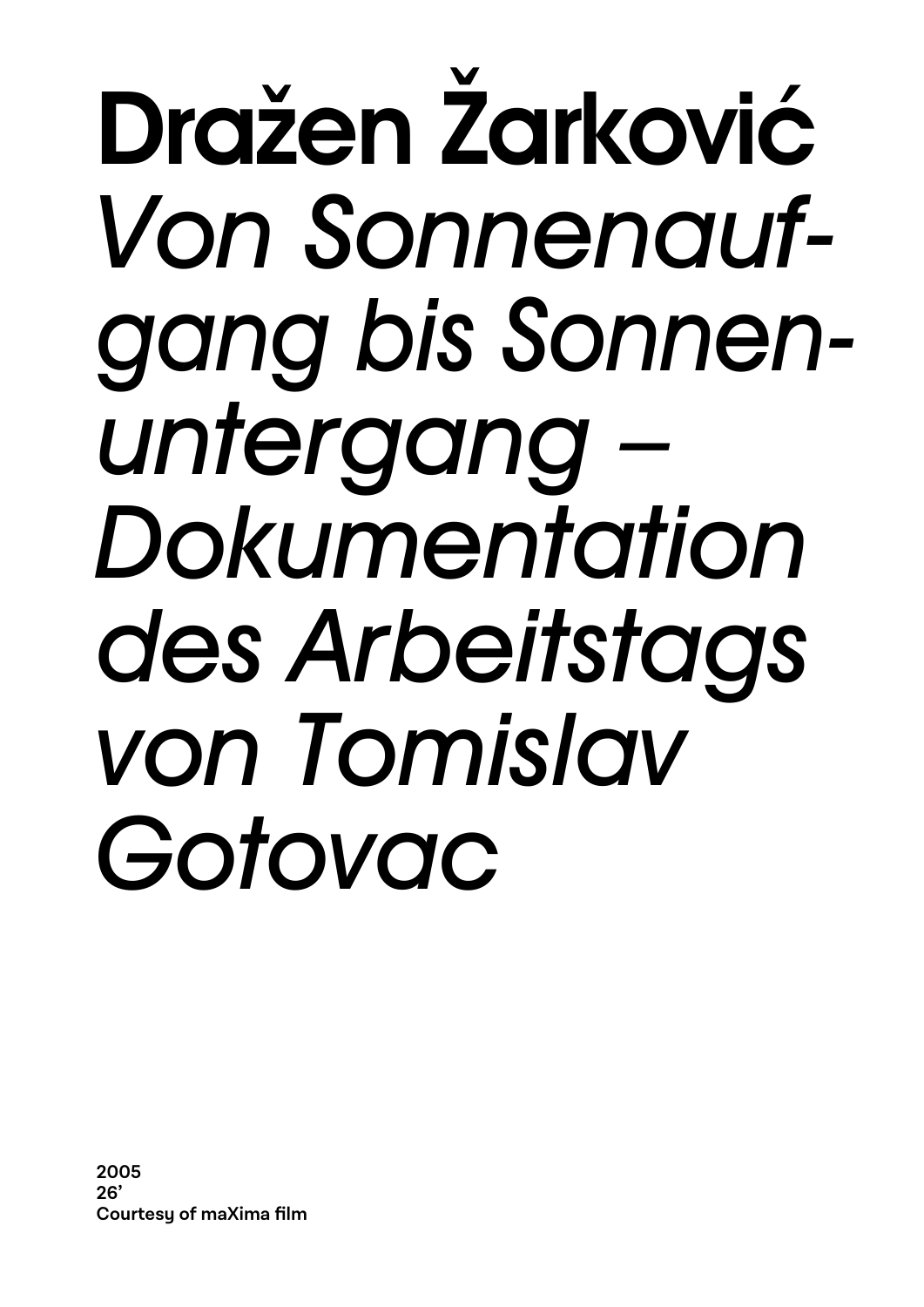### Dražen Žarković *Von Sonnenaufgang bis Sonnenuntergang – Dokumentation des Arbeitstags von Tomislav Gotovac*

**2005 26' Courtesy of maXima film**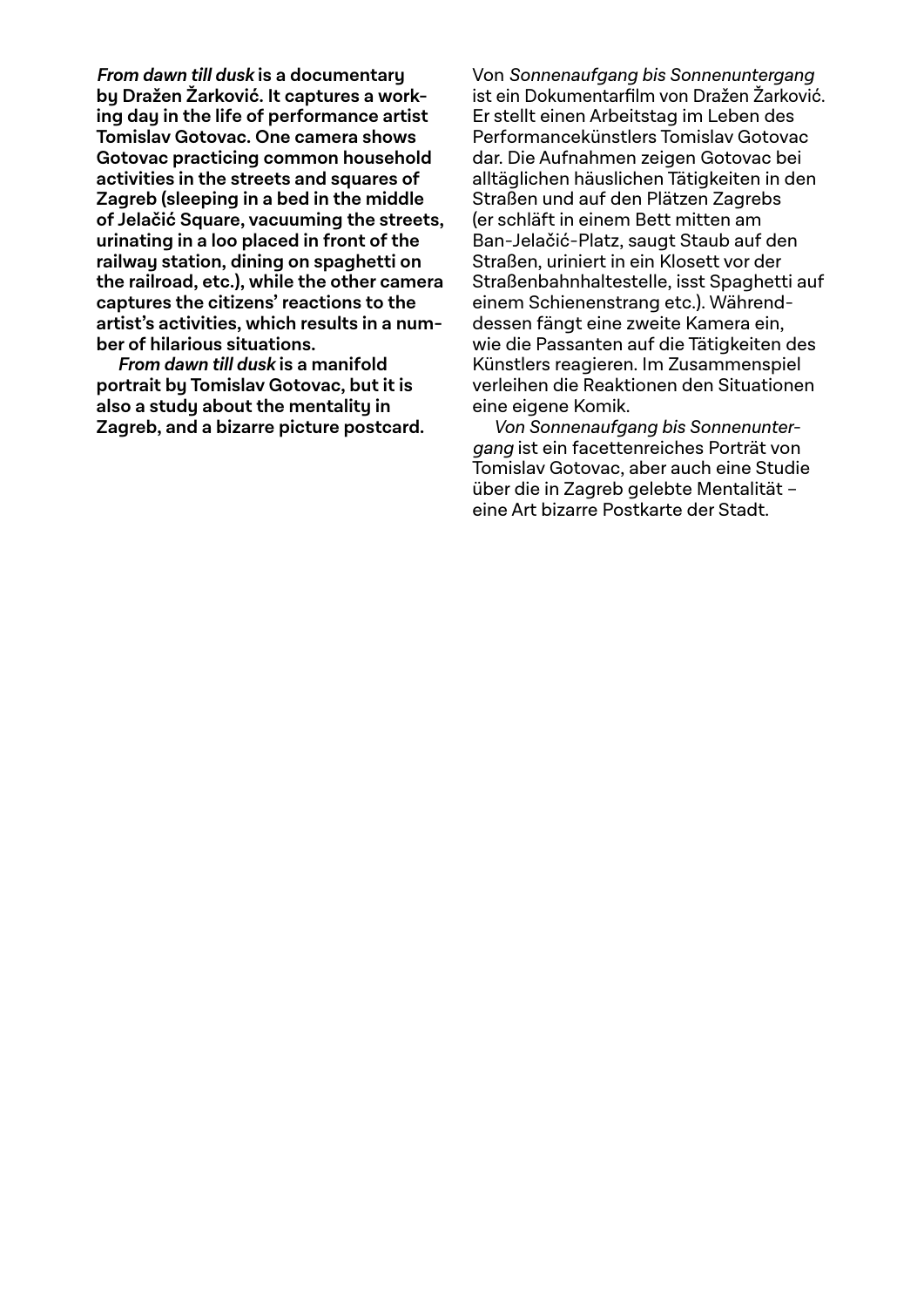**From dawn till dusk is a documentary by Dražen Žarković. It captures a working day in the life of performance artist Tomislav Gotovac. One camera shows Gotovac practicing common household activities in the streets and squares of Zagreb (sleeping in a bed in the middle of Jelačić Square, vacuuming the streets, urinating in a loo placed in front of the railway station, dining on spaghetti on the railroad, etc.), while the other camera captures the citizens' reactions to the artist's activities, which results in a number of hilarious situations.** 

**From dawn till dusk is a manifold portrait by Tomislav Gotovac, but it is also a study about the mentality in Zagreb, and a bizarre picture postcard.** Von Sonnenaufgang bis Sonnenuntergang ist ein Dokumentarfilm von Dražen Žarković. Er stellt einen Arbeitstag im Leben des Performancekünstlers Tomislav Gotovac dar. Die Aufnahmen zeigen Gotovac bei alltäglichen häuslichen Tätigkeiten in den Straßen und auf den Plätzen Zagrebs (er schläft in einem Bett mitten am Ban-Jelačić-Platz, saugt Staub auf den Straßen, uriniert in ein Klosett vor der Straßenbahnhaltestelle, isst Spaghetti auf einem Schienenstrang etc.). Währenddessen fängt eine zweite Kamera ein, wie die Passanten auf die Tätigkeiten des Künstlers reagieren. Im Zusammenspiel verleihen die Reaktionen den Situationen eine eigene Komik.

Von Sonnenaufgang bis Sonnenuntergang ist ein facettenreiches Porträt von Tomislav Gotovac, aber auch eine Studie über die in Zagreb gelebte Mentalität – eine Art bizarre Postkarte der Stadt.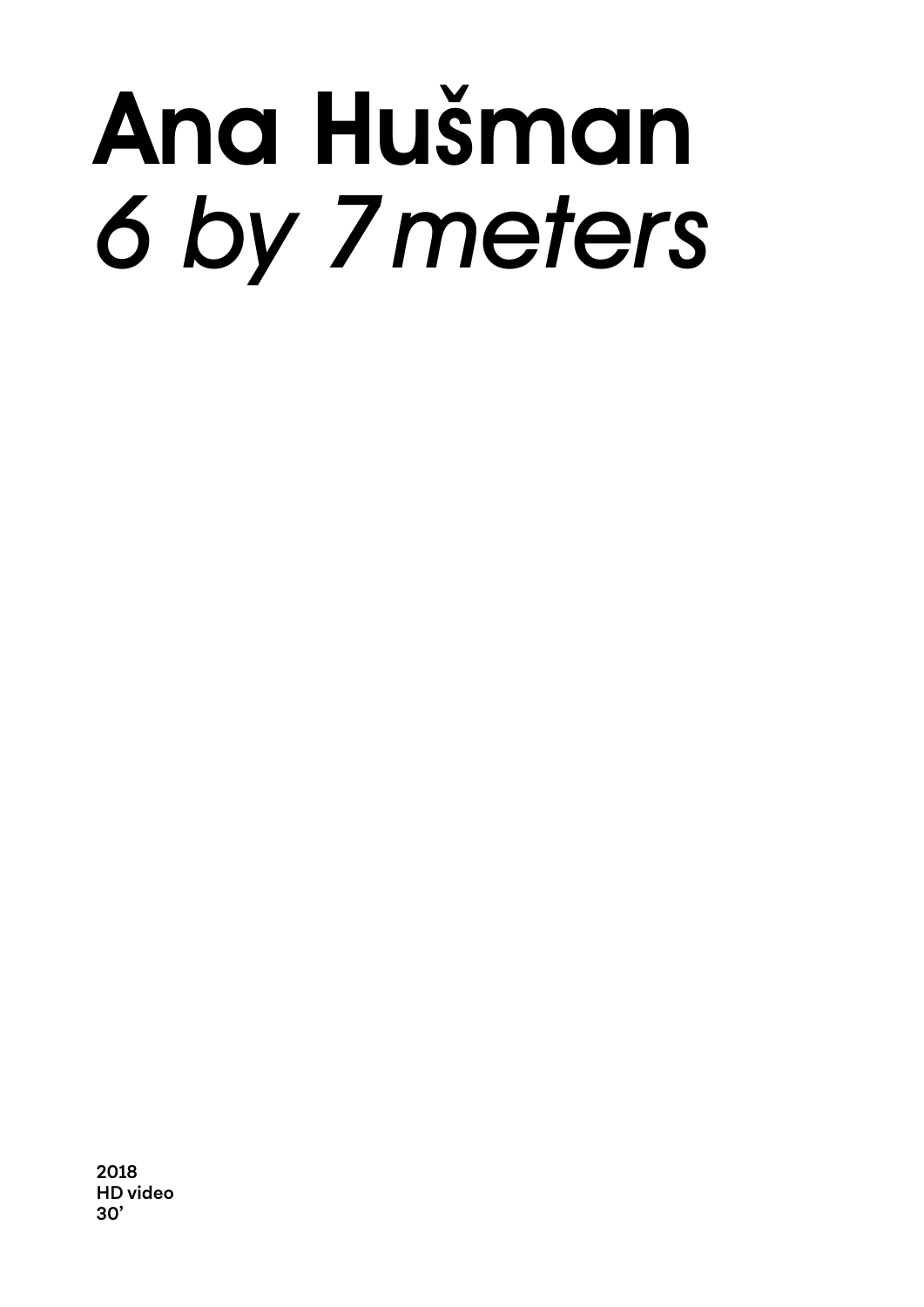## Ana Hušman *6 by 7 meters*

**2018 HD video 30'**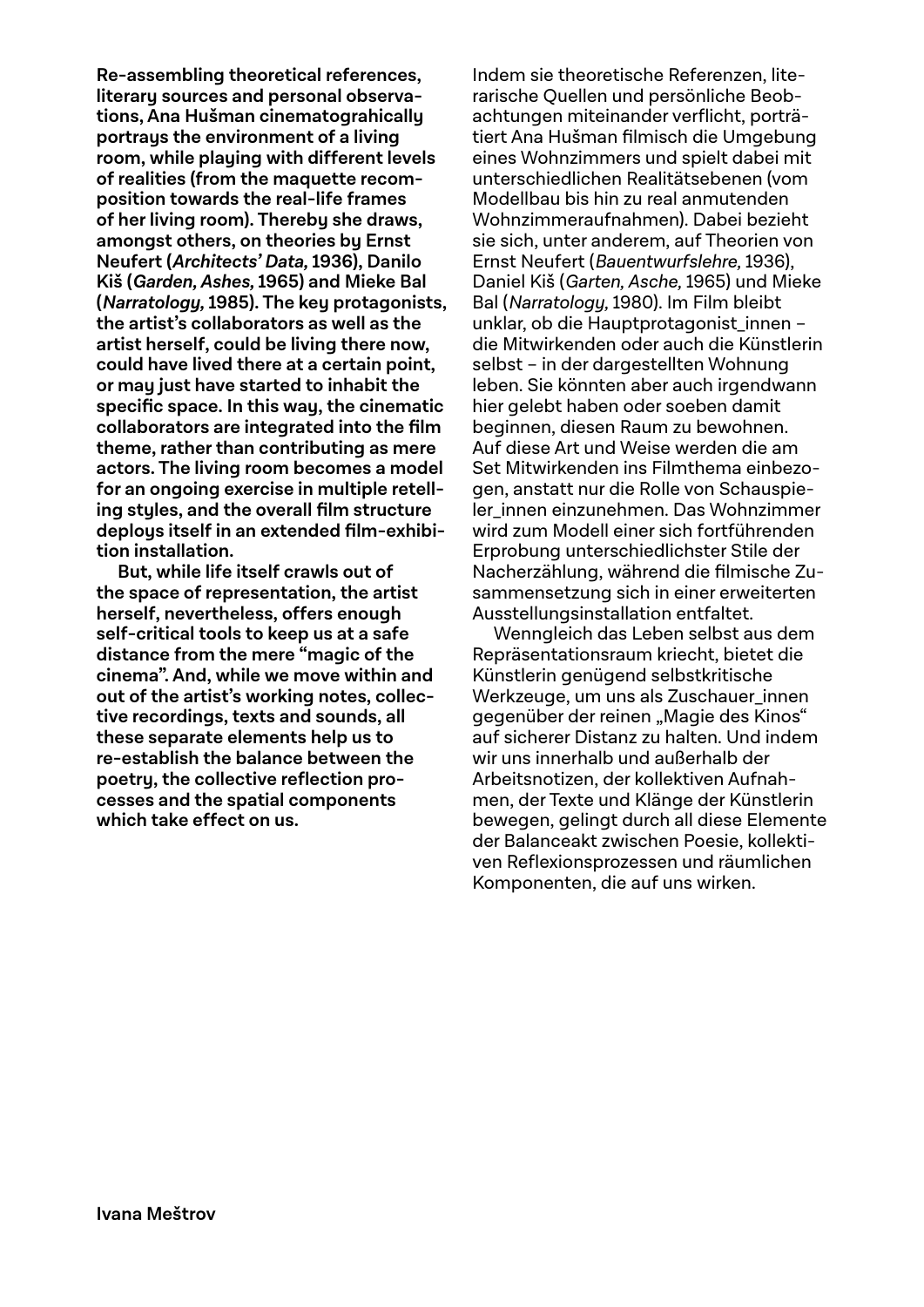**Re-assembling theoretical references, literary sources and personal observations, Ana Hušman cinematograhically portrays the environment of a living room, while playing with different levels of realities (from the maquette recomposition towards the real-life frames of her living room). Thereby she draws, amongst others, on theories by Ernst Neufert (Architects' Data, 1936), Danilo Kiš (Garden, Ashes, 1965) and Mieke Bal (Narratology, 1985). The key protagonists, the artist's collaborators as well as the artist herself, could be living there now, could have lived there at a certain point, or may just have started to inhabit the**  specific space. In this way, the cinematic **collaborators are integrated into the fi lm theme, rather than contributing as mere actors. The living room becomes a model for an ongoing exercise in multiple retell**ing styles, and the overall film structure deploys itself in an extended film-exhibi**tion installation.**

**But, while life itself crawls out of the space of representation, the artist herself, nevertheless, offers enough self-critical tools to keep us at a safe distance from the mere "magic of the cinema". And, while we move within and out of the artist's working notes, collective recordings, texts and sounds, all these separate elements help us to re-establish the balance between the poetry, the collective reflection processes and the spatial components which take effect on us.**

Indem sie theoretische Referenzen, literarische Quellen und persönliche Beobachtungen miteinander verflicht, porträtiert Ana Hušman filmisch die Umgebung eines Wohnzimmers und spielt dabei mit unterschiedlichen Realitätsebenen (vom Modellbau bis hin zu real anmutenden Wohnzimmeraufnahmen). Dabei bezieht sie sich, unter anderem, auf Theorien von Ernst Neufert (Bauentwurfslehre, 1936), Daniel Kiš (Garten, Asche, 1965) und Mieke Bal (Narratology, 1980). Im Film bleibt unklar, ob die Hauptprotagonist innen – die Mitwirkenden oder auch die Künstlerin selbst – in der dargestellten Wohnung leben. Sie könnten aber auch irgendwann hier gelebt haben oder soeben damit beginnen, diesen Raum zu bewohnen. Auf diese Art und Weise werden die am Set Mitwirkenden ins Filmthema einbezogen, anstatt nur die Rolle von Schauspieler\_innen einzunehmen. Das Wohnzimmer wird zum Modell einer sich fortführenden Erprobung unterschiedlichster Stile der Nacherzählung, während die filmische Zusammensetzung sich in einer erweiterten Ausstellungsinstallation entfaltet.

Wenngleich das Leben selbst aus dem Repräsentationsraum kriecht, bietet die Künstlerin genügend selbstkritische Werkzeuge, um uns als Zuschauer\_innen gegenüber der reinen "Magie des Kinos" auf sicherer Distanz zu halten. Und indem wir uns innerhalb und außerhalb der Arbeitsnotizen, der kollektiven Aufnahmen, der Texte und Klänge der Künstlerin bewegen, gelingt durch all diese Elemente der Balanceakt zwischen Poesie, kollektiven Reflexionsprozessen und räumlichen Komponenten, die auf uns wirken.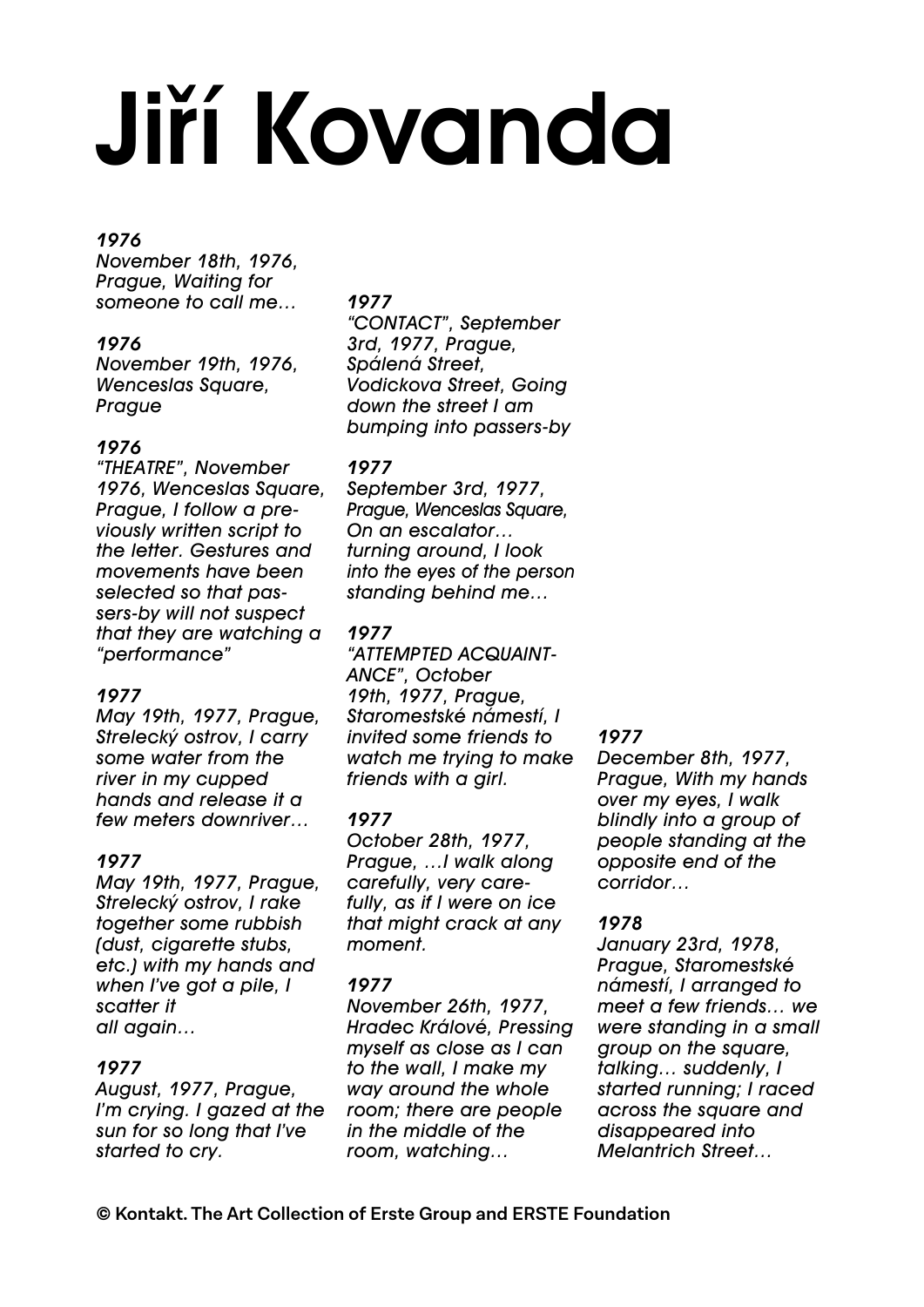# Jiří Kovanda

### *1976*

*November 18th, 1976, Prague, Waiting for someone to call me…*

### *1976*

*November 19th, 1976, Wenceslas Square, Prague*

### *1976*

*"THEATRE", November 1976, Wenceslas Square, Prague, I follow a previously written script to the letter. Gestures and movements have been selected so that passers-by will not suspect that they are watching a "performance"* 

### *1977*

*May 19th, 1977, Prague, Strelecký ostrov, I carry some water from the river in my cupped hands and release it a few meters downriver…* 

### *1977*

*May 19th, 1977, Prague, Strelecký ostrov, I rake together some rubbish (dust, cigarette stubs, etc.) with my hands and when I've got a pile, I scatter it all again…*

### *1977*

*August, 1977, Prague, I'm crying. I gazed at the sun for so long that I've started to cry.*

### *1977*

*"CONTACT", September 3rd, 1977, Prague, Spálená Street, Vodickova Street, Going down the street I am bumping into passers-by*

### *1977*

*September 3rd, 1977, Prague, Wenceslas Square, On an escalator… turning around, I look into the eyes of the person standing behind me…*

### *1977*

*"ATTEMPTED ACQUAINT-ANCE", October 19th, 1977, Prague, Staromestské námestí, I invited some friends to watch me trying to make friends with a girl.*

### *1977*

*October 28th, 1977, Prague, …I walk along carefully, very carefully, as if I were on ice that might crack at any moment.*

### *1977*

*November 26th, 1977, Hradec Králové, Pressing myself as close as I can to the wall, I make my way around the whole room; there are people in the middle of the room, watching…*

### *1977*

*December 8th, 1977, Prague, With my hands over my eyes, I walk blindly into a group of people standing at the opposite end of the corridor…*

### *1978*

*January 23rd, 1978, Prague, Staromestské námestí, I arranged to meet a few friends… we were standing in a small group on the square, talking… suddenly, I started running; I raced across the square and disappeared into Melantrich Street…*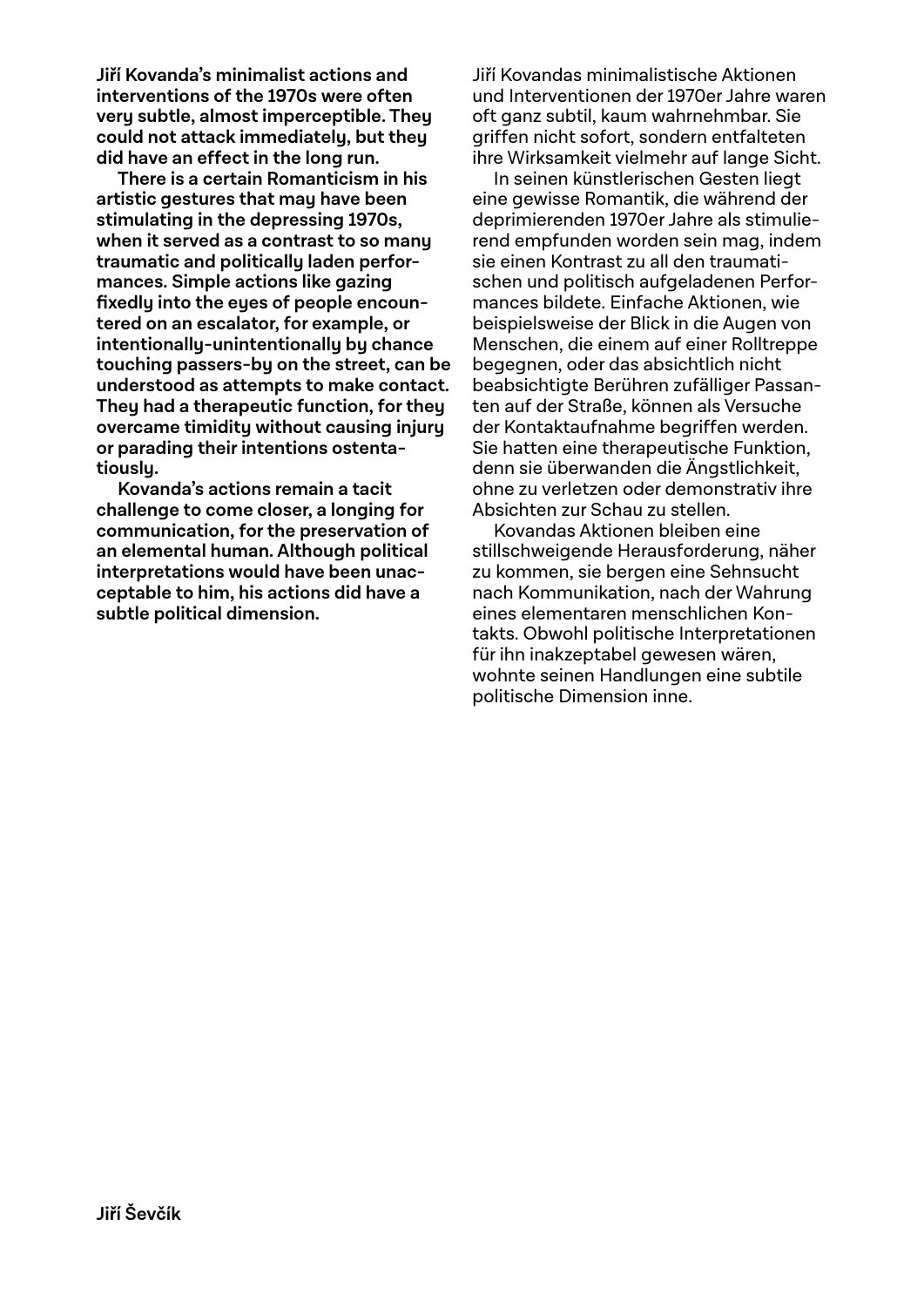**Jiří Kovanda's minimalist actions and interventions of the 1970s were often very subtle, almost imperceptible. They could not attack immediately, but they did have an effect in the long run.**

**There is a certain Romanticism in his artistic gestures that may have been stimulating in the depressing 1970s, when it served as a contrast to so many traumatic and politically laden performances. Simple actions like gazing fixedly into the eyes of people encountered on an escalator, for example, or intentionally-unintentionally by chance touching passers-by on the street, can be understood as attempts to make contact. They had a therapeutic function, for they overcame timidity without causing injury or parading their intentions ostentatiously.** 

**Kovanda's actions remain a tacit challenge to come closer, a longing for communication, for the preservation of an elemental human. Although political interpretations would have been unacceptable to him, his actions did have a subtle political dimension.** 

Jiří Kovandas minimalistische Aktionen und Interventionen der 1970er Jahre waren oft ganz subtil, kaum wahrnehmbar. Sie griffen nicht sofort, sondern entfalteten ihre Wirksamkeit vielmehr auf lange Sicht.

In seinen künstlerischen Gesten liegt eine gewisse Romantik, die während der deprimierenden 1970er Jahre als stimulierend empfunden worden sein mag, indem sie einen Kontrast zu all den traumatischen und politisch aufgeladenen Performances bildete. Einfache Aktionen, wie beispielsweise der Blick in die Augen von Menschen, die einem auf einer Rolltreppe begegnen, oder das absichtlich nicht beabsichtigte Berühren zufälliger Passanten auf der Straße, können als Versuche der Kontaktaufnahme begriffen werden. Sie hatten eine therapeutische Funktion, denn sie überwanden die Ängstlichkeit, ohne zu verletzen oder demonstrativ ihre Absichten zur Schau zu stellen.

Kovandas Aktionen bleiben eine stillschweigende Herausforderung, näher zu kommen, sie bergen eine Sehnsucht nach Kommunikation, nach der Wahrung eines elementaren menschlichen Kontakts. Obwohl politische Interpretationen für ihn inakzeptabel gewesen wären, wohnte seinen Handlungen eine subtile politische Dimension inne.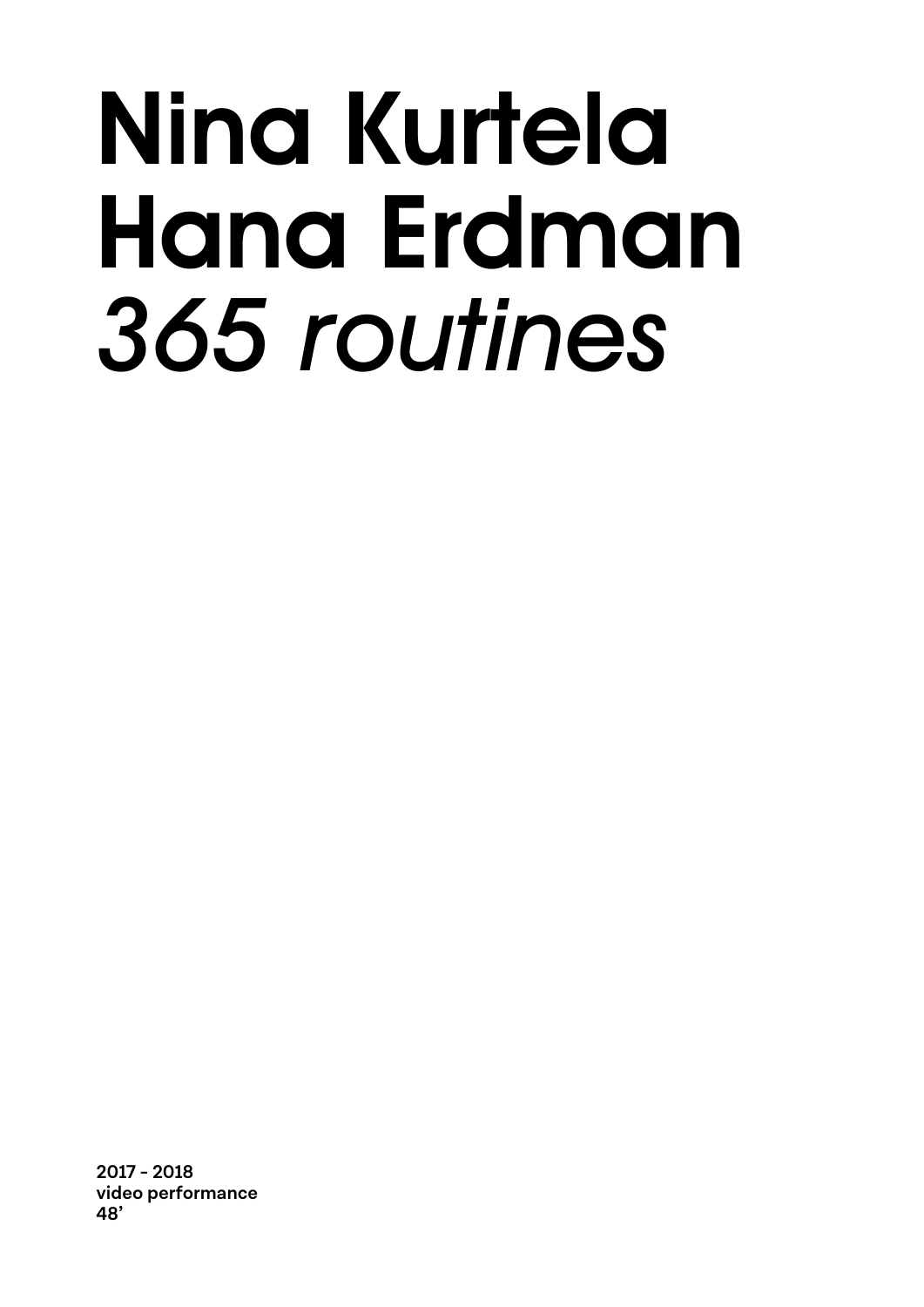### Nina Kurtela Hana Erdman *365 routines*

**2017 - 2018 video performance 48'**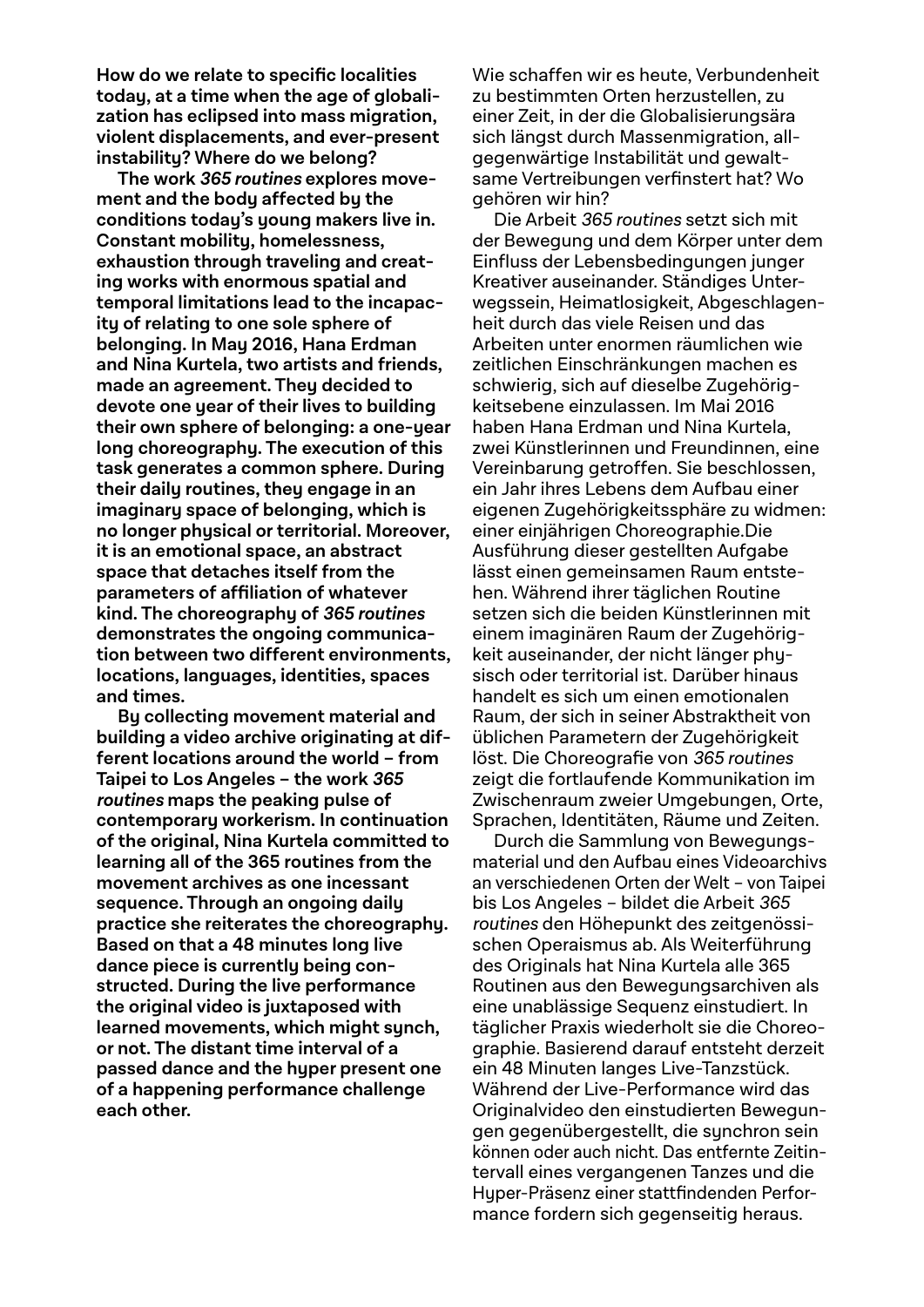**How do we relate to specific localities today, at a time when the age of globalization has eclipsed into mass migration, violent displacements, and ever-present instability? Where do we belong?**

**The work 365 routines explores movement and the body affected by the conditions today's young makers live in. Constant mobility, homelessness, exhaustion through traveling and creating works with enormous spatial and temporal limitations lead to the incapacity of relating to one sole sphere of belonging. In May 2016, Hana Erdman and Nina Kurtela, two artists and friends, made an agreement. They decided to devote one year of their lives to building their own sphere of belonging: a one-year long choreography. The execution of this task generates a common sphere. During their daily routines, they engage in an imaginary space of belonging, which is no longer physical or territorial. Moreover, it is an emotional space, an abstract space that detaches itself from the parameters of affiliation of whatever kind. The choreography of 365 routines demonstrates the ongoing communication between two different environments, locations, languages, identities, spaces and times.**

**By collecting movement material and building a video archive originating at different locations around the world – from Taipei to Los Angeles – the work 365 routines maps the peaking pulse of contemporary workerism. In continuation of the original, Nina Kurtela committed to learning all of the 365 routines from the movement archives as one incessant sequence. Through an ongoing daily practice she reiterates the choreography. Based on that a 48 minutes long live dance piece is currently being constructed. During the live performance the original video is juxtaposed with learned movements, which might synch, or not. The distant time interval of a passed dance and the hyper present one of a happening performance challenge each other.**

Wie schaffen wir es heute, Verbundenheit zu bestimmten Orten herzustellen, zu einer Zeit, in der die Globalisierungsära sich längst durch Massenmigration, allgegenwärtige Instabilität und gewalt same Vertreibungen verfinstert hat? Wo gehören wir hin?

Die Arbeit 365 routines setzt sich mit der Bewegung und dem Körper unter dem Einfluss der Lebensbedingungen junger Kreativer auseinander. Ständiges Unterwegssein, Heimatlosigkeit, Abgeschlagenheit durch das viele Reisen und das Arbeiten unter enormen räumlichen wie zeitlichen Einschränkungen machen es schwierig, sich auf dieselbe Zugehörigkeitsebene einzulassen. Im Mai 2016 haben Hana Erdman und Nina Kurtela, zwei Künstlerinnen und Freundinnen, eine Vereinbarung getroffen. Sie beschlossen, ein Jahr ihres Lebens dem Aufbau einer eigenen Zugehörigkeitssphäre zu widmen: einer einjährigen Choreographie.Die Ausführung dieser gestellten Aufgabe lässt einen gemeinsamen Raum entstehen. Während ihrer täglichen Routine setzen sich die beiden Künstlerinnen mit einem imaginären Raum der Zugehörigkeit auseinander, der nicht länger physisch oder territorial ist. Darüber hinaus handelt es sich um einen emotionalen Raum, der sich in seiner Abstraktheit von üblichen Parametern der Zugehörigkeit löst. Die Choreografie von 365 routines zeigt die fortlaufende Kommunikation im Zwischenraum zweier Umgebungen, Orte, Sprachen, Identitäten, Räume und Zeiten.

Durch die Sammlung von Bewegungsmaterial und den Aufbau eines Videoarchivs an verschiedenen Orten der Welt – von Taipei bis Los Angeles – bildet die Arbeit 365 routines den Höhepunkt des zeitgenössischen Operaismus ab. Als Weiterführung des Originals hat Nina Kurtela alle 365 Routinen aus den Bewegungsarchiven als eine unablässige Sequenz einstudiert. In täglicher Praxis wiederholt sie die Choreographie. Basierend darauf entsteht derzeit ein 48 Minuten langes Live-Tanzstück. Während der Live-Performance wird das Originalvideo den einstudierten Bewegungen gegenübergestellt, die synchron sein können oder auch nicht. Das entfernte Zeitintervall eines vergangenen Tanzes und die Hyper-Präsenz einer stattfindenden Performance fordern sich gegenseitig heraus.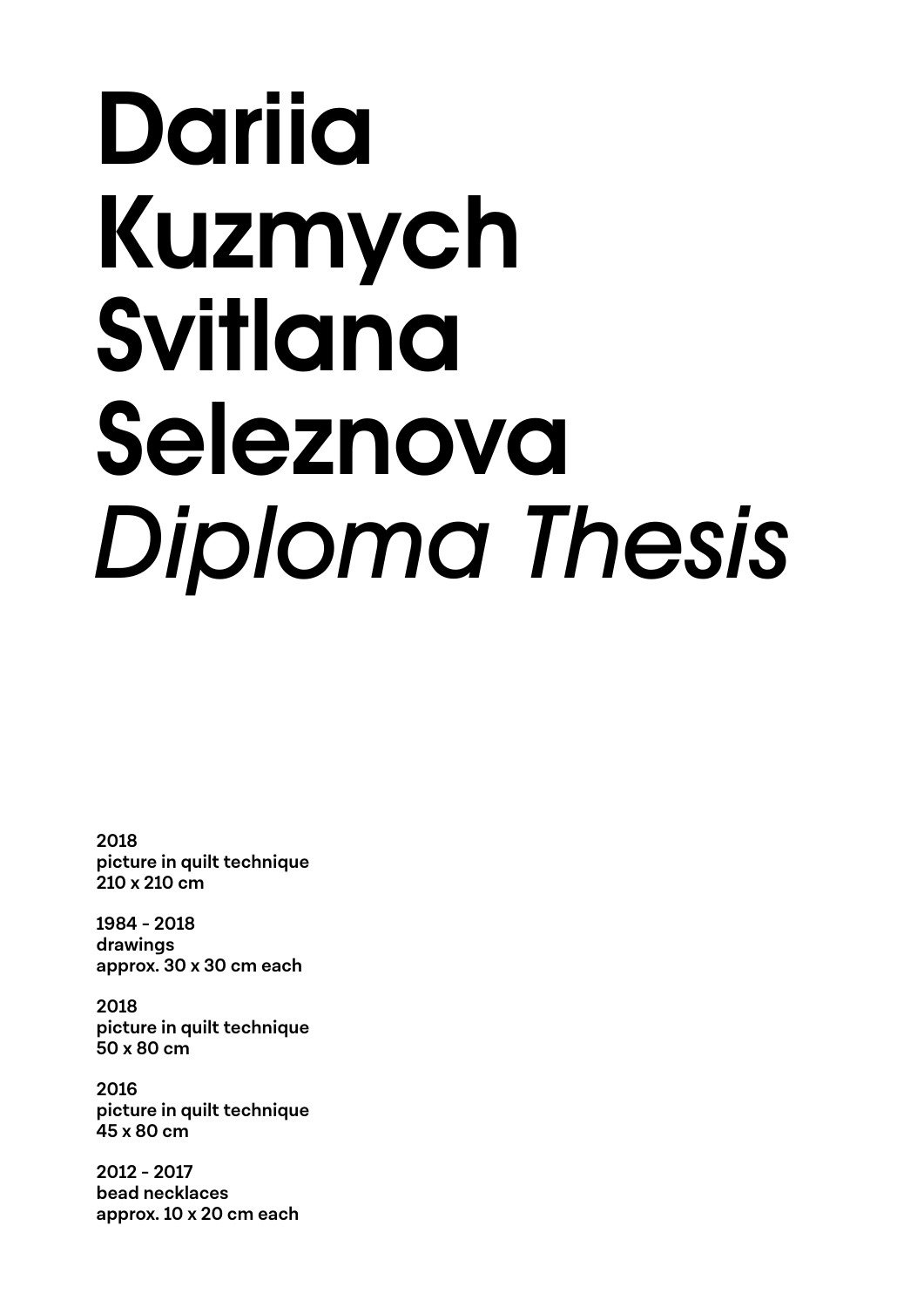### Dariia Kuzmych Svitlana Seleznova *Diploma Thesis*

**2018 picture in quilt technique 210 x 210 cm**

**1984 - 2018 drawings approx. 30 x 30 cm each**

**2018 picture in quilt technique 50 x 80 cm**

**2016 picture in quilt technique 45 x 80 cm**

**2012 - 2017 bead necklaces approx. 10 x 20 cm each**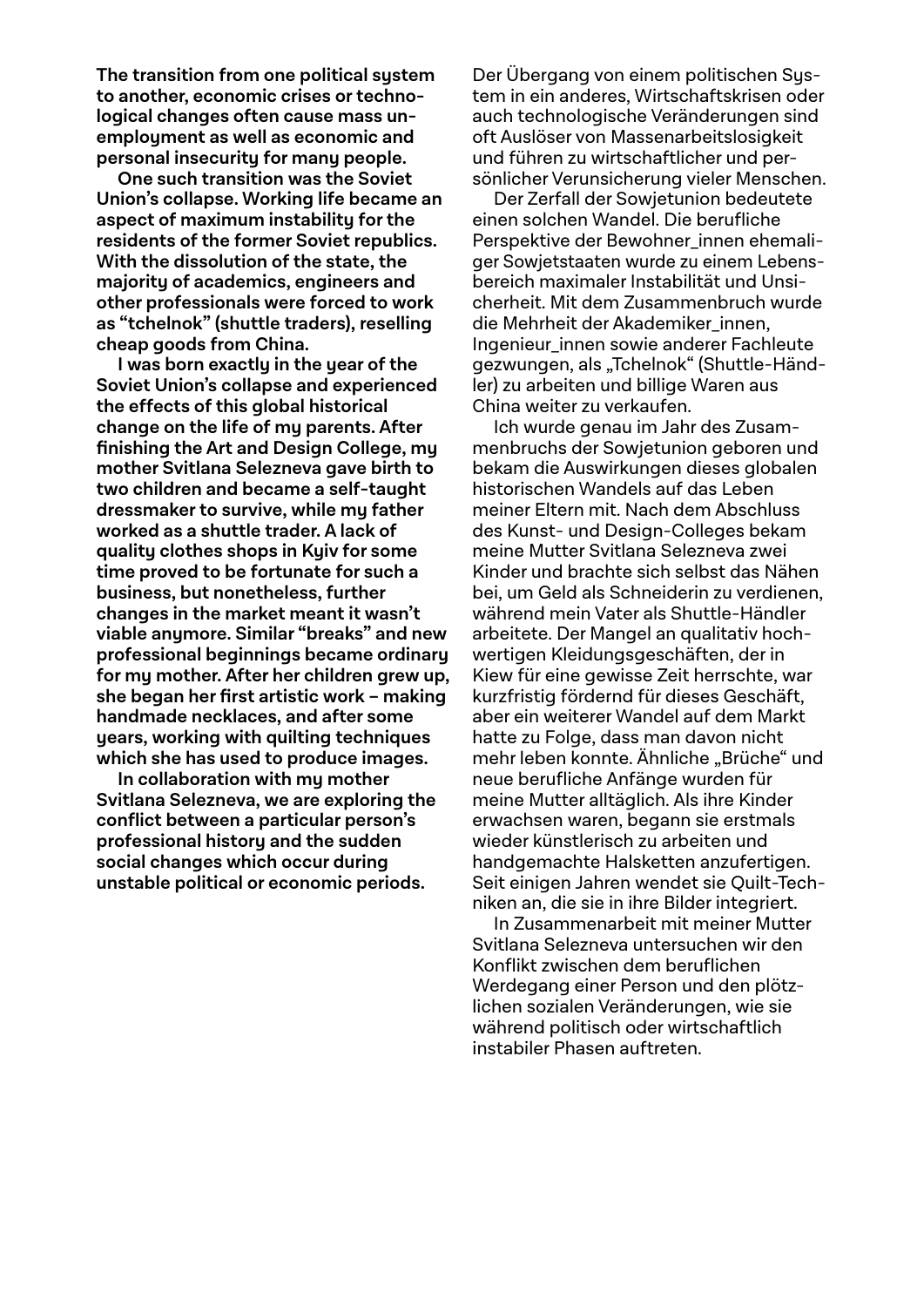**The transition from one political system to another, economic crises or technological changes often cause mass unemployment as well as economic and personal insecurity for many people.** 

**One such transition was the Soviet Union's collapse. Working life became an aspect of maximum instability for the residents of the former Soviet republics. With the dissolution of the state, the majority of academics, engineers and other professionals were forced to work as "tchelnok" (shuttle traders), reselling cheap goods from China.**

**I was born exactly in the year of the Soviet Union's collapse and experienced the effects of this global historical change on the life of my parents. After finishing the Art and Design College, my mother Svitlana Selezneva gave birth to two children and became a self-taught dressmaker to survive, while my father worked as a shuttle trader. A lack of quality clothes shops in Kyiv for some time proved to be fortunate for such a business, but nonetheless, further changes in the market meant it wasn't viable anymore. Similar "breaks" and new professional beginnings became ordinary for my mother. After her children grew up, she began her first artistic work – making handmade necklaces, and after some years, working with quilting techniques which she has used to produce images.** 

**In collaboration with my mother Svitlana Selezneva, we are exploring the conflict between a particular person's professional history and the sudden social changes which occur during unstable political or economic periods.**

Der Übergang von einem politischen System in ein anderes, Wirtschaftskrisen oder auch technologische Veränderungen sind oft Auslöser von Massenarbeitslosigkeit und führen zu wirtschaftlicher und persönlicher Verunsicherung vieler Menschen.

Der Zerfall der Sowjetunion bedeutete einen solchen Wandel. Die berufliche Perspektive der Bewohner innen ehemaliger Sowjetstaaten wurde zu einem Lebensbereich maximaler Instabilität und Unsicherheit. Mit dem Zusammenbruch wurde die Mehrheit der Akademiker innen, Ingenieur\_innen sowie anderer Fachleute gezwungen, als "Tchelnok" (Shuttle-Händler) zu arbeiten und billige Waren aus China weiter zu verkaufen.

Ich wurde genau im Jahr des Zusammenbruchs der Sowjetunion geboren und bekam die Auswirkungen dieses globalen historischen Wandels auf das Leben meiner Eltern mit. Nach dem Abschluss des Kunst- und Design-Colleges bekam meine Mutter Svitlana Selezneva zwei Kinder und brachte sich selbst das Nähen bei, um Geld als Schneiderin zu verdienen, während mein Vater als Shuttle-Händler arbeitete. Der Mangel an qualitativ hochwertigen Kleidungsgeschäften, der in Kiew für eine gewisse Zeit herrschte, war kurzfristig fördernd für dieses Geschäft, aber ein weiterer Wandel auf dem Markt hatte zu Folge, dass man davon nicht mehr leben konnte. Ähnliche "Brüche" und neue berufliche Anfänge wurden für meine Mutter alltäglich. Als ihre Kinder erwachsen waren, begann sie erstmals wieder künstlerisch zu arbeiten und handgemachte Halsketten anzufertigen. Seit einigen Jahren wendet sie Quilt-Techniken an, die sie in ihre Bilder integriert.

In Zusammenarbeit mit meiner Mutter Svitlana Selezneva untersuchen wir den Konflikt zwischen dem beruflichen Werdegang einer Person und den plötzlichen sozialen Veränderungen, wie sie während politisch oder wirtschaftlich instabiler Phasen auftreten.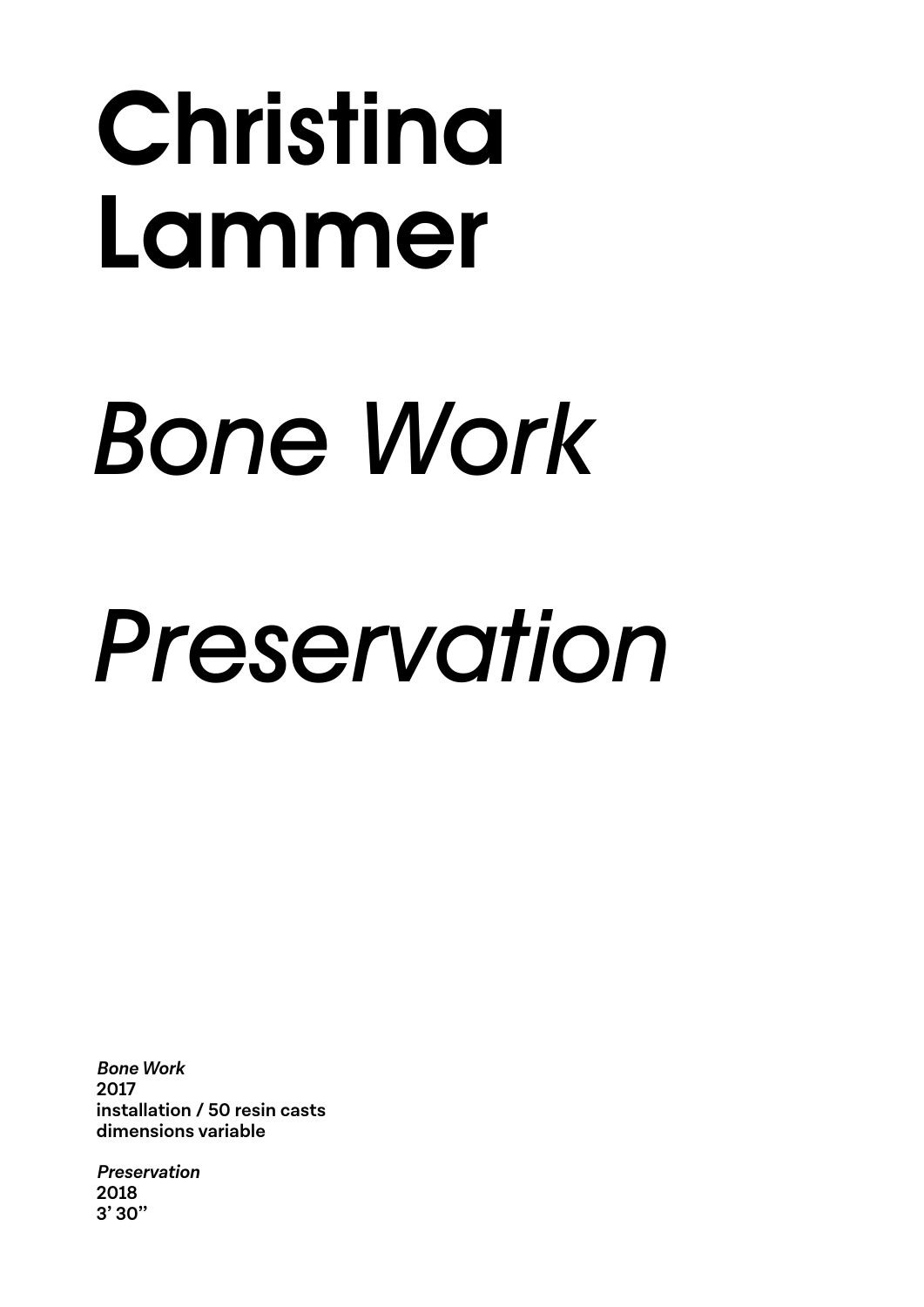### Christina Lammer

# *Bone Work*

## *Preservation*

**Bone Work 2017 installation / 50 resin casts dimensions variable**

**Preservation 2018 3' 30''**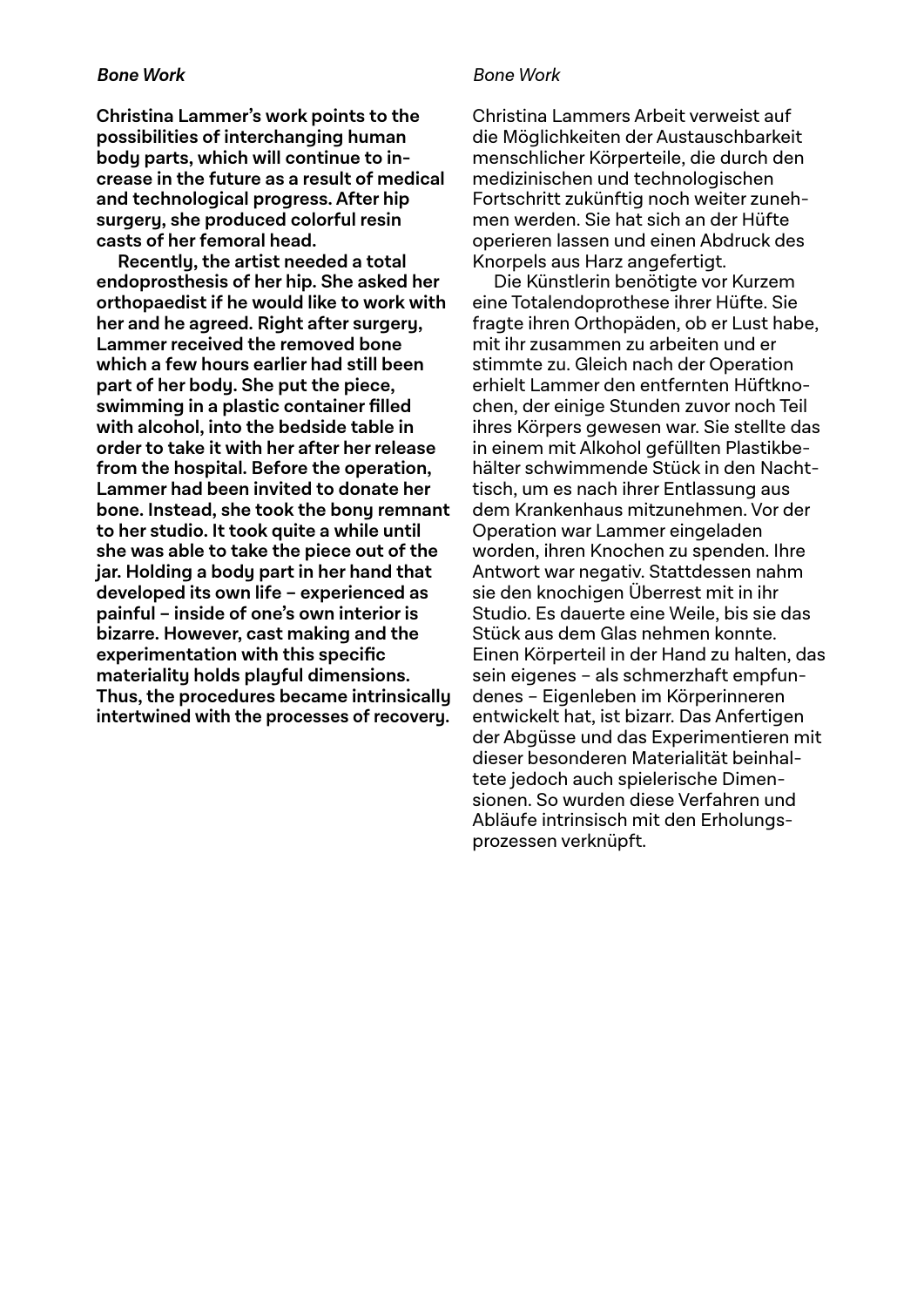### **Bone Work**

**Christina Lammer's work points to the possibilities of interchanging human body parts, which will continue to increase in the future as a result of medical and technological progress. After hip surgery, she produced colorful resin casts of her femoral head.** 

**Recently, the artist needed a total endoprosthesis of her hip. She asked her orthopaedist if he would like to work with her and he agreed. Right after surgery, Lammer received the removed bone which a few hours earlier had still been part of her body. She put the piece, swimming in a plastic container filled with alcohol, into the bedside table in order to take it with her after her release from the hospital. Before the operation, Lammer had been invited to donate her bone. Instead, she took the bony remnant to her studio. It took quite a while until she was able to take the piece out of the jar. Holding a body part in her hand that developed its own life – experienced as painful – inside of one's own interior is bizarre. However, cast making and the experimentation with this specific materiality holds playful dimensions. Thus, the procedures became intrinsically intertwined with the processes of recovery.**

### Bone Work

Christina Lammers Arbeit verweist auf die Möglichkeiten der Austauschbarkeit menschlicher Körperteile, die durch den medizinischen und technologischen Fortschritt zukünftig noch weiter zunehmen werden. Sie hat sich an der Hüfte operieren lassen und einen Abdruck des Knorpels aus Harz angefertigt.

Die Künstlerin benötigte vor Kurzem eine Totalendoprothese ihrer Hüfte. Sie fragte ihren Orthopäden, ob er Lust habe, mit ihr zusammen zu arbeiten und er stimmte zu. Gleich nach der Operation erhielt Lammer den entfernten Hüftknochen, der einige Stunden zuvor noch Teil ihres Körpers gewesen war. Sie stellte das in einem mit Alkohol gefüllten Plastikbehälter schwimmende Stück in den Nachttisch, um es nach ihrer Entlassung aus dem Krankenhaus mitzunehmen. Vor der Operation war Lammer eingeladen worden, ihren Knochen zu spenden. Ihre Antwort war negativ. Stattdessen nahm sie den knochigen Überrest mit in ihr Studio. Es dauerte eine Weile, bis sie das Stück aus dem Glas nehmen konnte. Einen Körperteil in der Hand zu halten, das sein eigenes – als schmerzhaft empfundenes – Eigenleben im Körperinneren entwickelt hat, ist bizarr. Das Anfertigen der Abgüsse und das Experimentieren mit dieser besonderen Materialität beinhaltete jedoch auch spielerische Dimensionen. So wurden diese Verfahren und Abläufe intrinsisch mit den Erholungsprozessen verknüpft.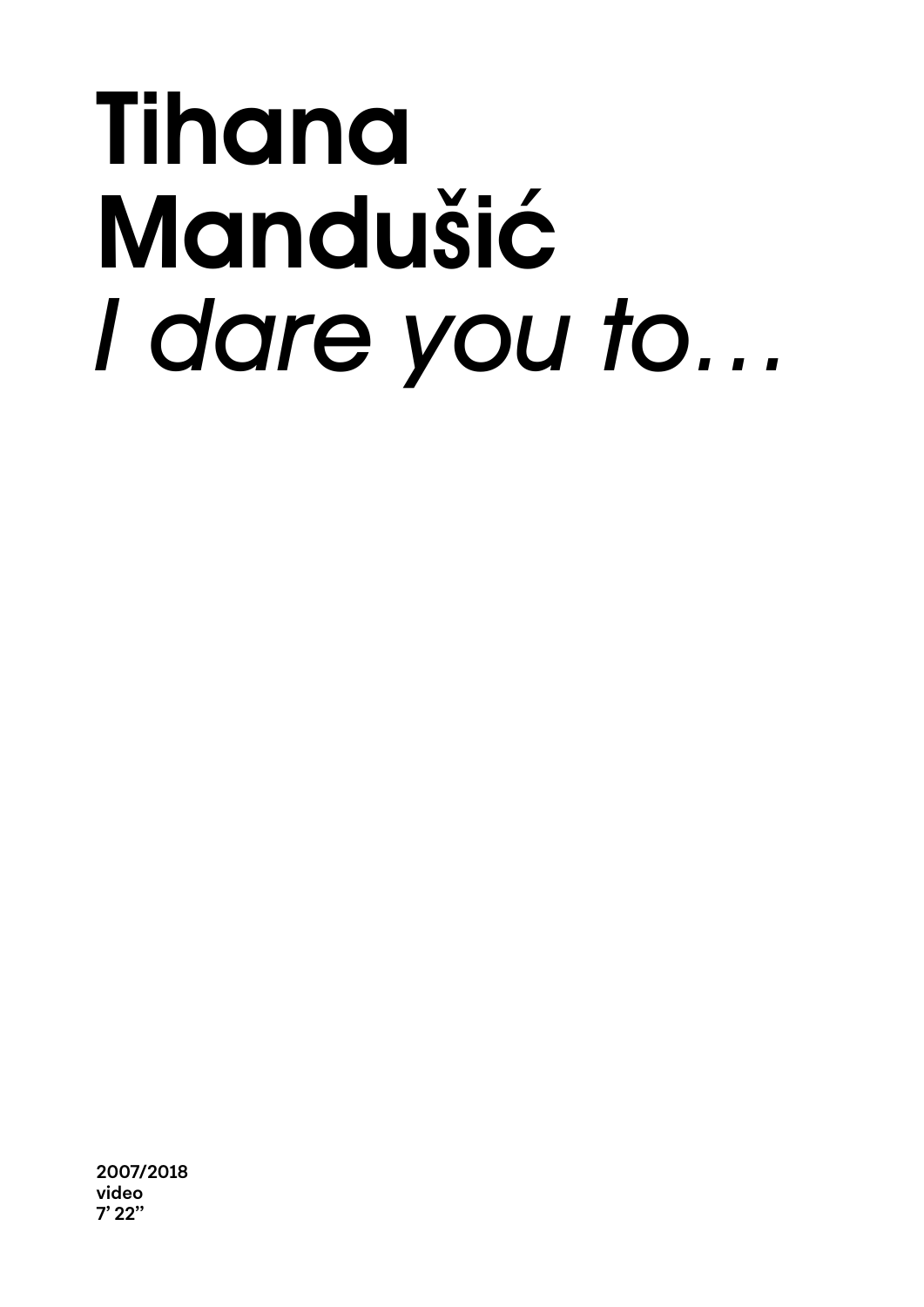### Tihana Mandušić *I dare you to…*

**2007/2018 video 7' 22''**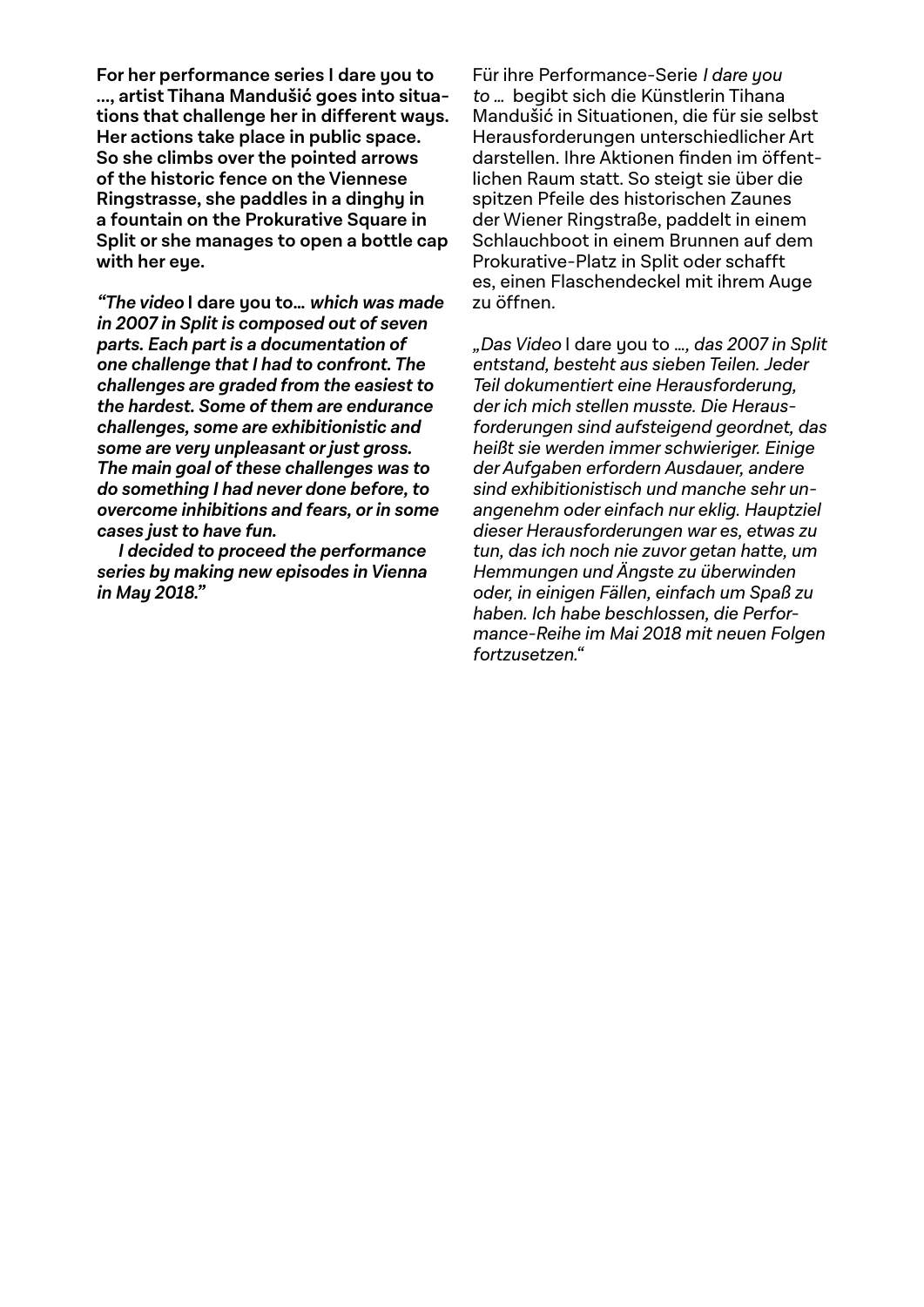**For her performance series I dare you to ..., artist Tihana Mandušić goes into situations that challenge her in different ways. Her actions take place in public space. So she climbs over the pointed arrows of the historic fence on the Viennese Ringstrasse, she paddles in a dinghy in a fountain on the Prokurative Square in Split or she manages to open a bottle cap with her eye.**

**"The video I dare you to… which was made in 2007 in Split is composed out of seven parts. Each part is a documentation of one challenge that I had to confront. The challenges are graded from the easiest to the hardest. Some of them are endurance challenges, some are exhibitionistic and some are very unpleasant or just gross. The main goal of these challenges was to do something I had never done before, to overcome inhibitions and fears, or in some cases just to have fun.**

**I decided to proceed the performance series by making new episodes in Vienna in May 2018."**

Für ihre Performance-Serie I dare you to … begibt sich die Künstlerin Tihana Mandušić in Situationen, die für sie selbst Herausforderungen unterschiedlicher Art darstellen. Ihre Aktionen finden im öffentlichen Raum statt. So steigt sie über die spitzen Pfeile des historischen Zaunes der Wiener Ringstraße, paddelt in einem Schlauchboot in einem Brunnen auf dem Prokurative-Platz in Split oder schafft es, einen Flaschendeckel mit ihrem Auge zu öffnen.

"Das Video I dare you to ..., das 2007 in Split entstand, besteht aus sieben Teilen. Jeder Teil dokumentiert eine Herausforderung, der ich mich stellen musste. Die Herausforderungen sind aufsteigend geordnet, das heißt sie werden immer schwieriger. Einige der Aufgaben erfordern Ausdauer, andere sind exhibitionistisch und manche sehr unangenehm oder einfach nur eklig. Hauptziel dieser Herausforderungen war es, etwas zu tun, das ich noch nie zuvor getan hatte, um Hemmungen und Ängste zu überwinden oder, in einigen Fällen, einfach um Spaß zu haben. Ich habe beschlossen, die Performance-Reihe im Mai 2018 mit neuen Folgen fortzusetzen."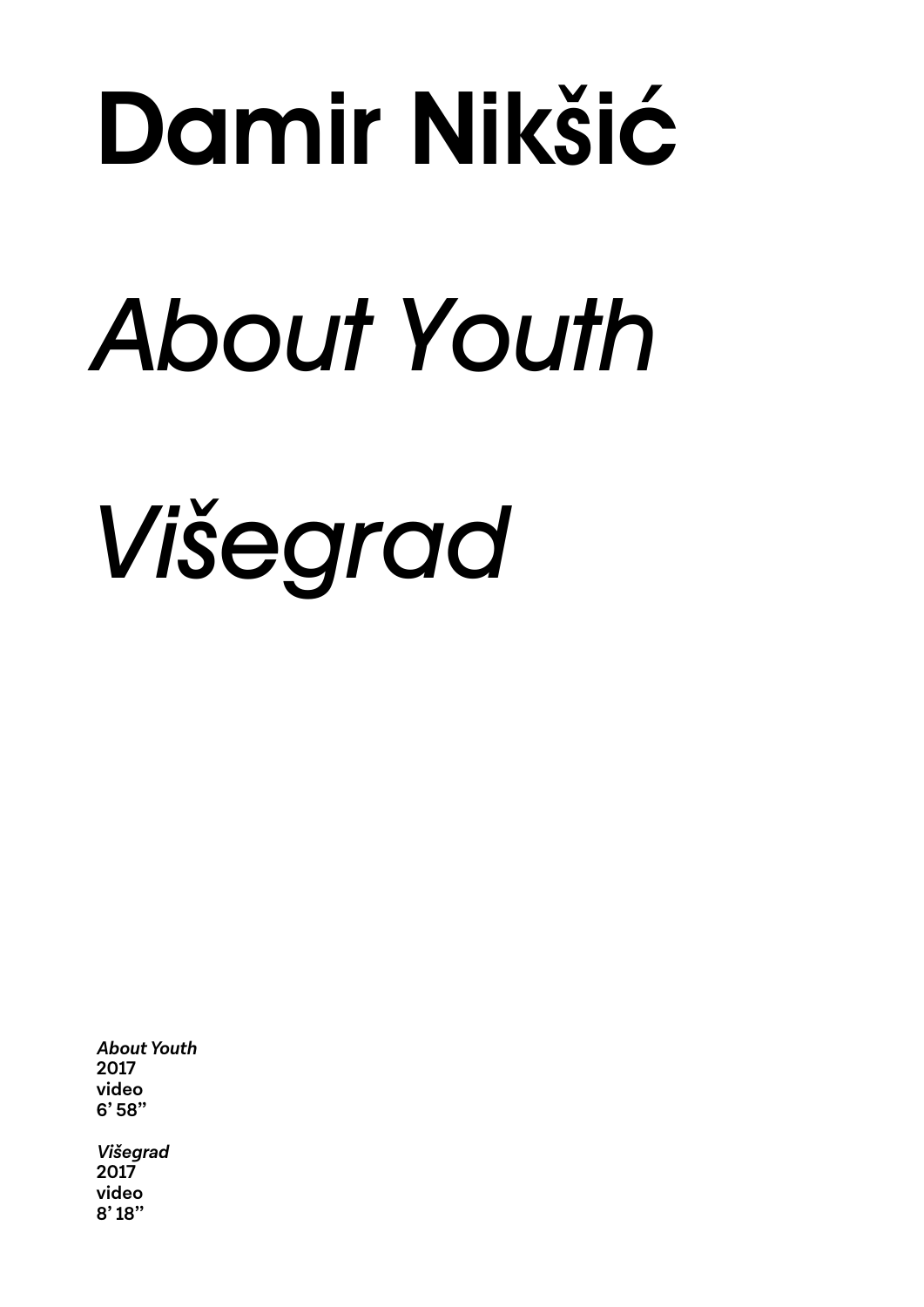# Damir Nikšić

# *About Youth*

# *Višegrad*

**About Youth 2017 video 6' 58''**

**Višegrad 2017 video 8' 18''**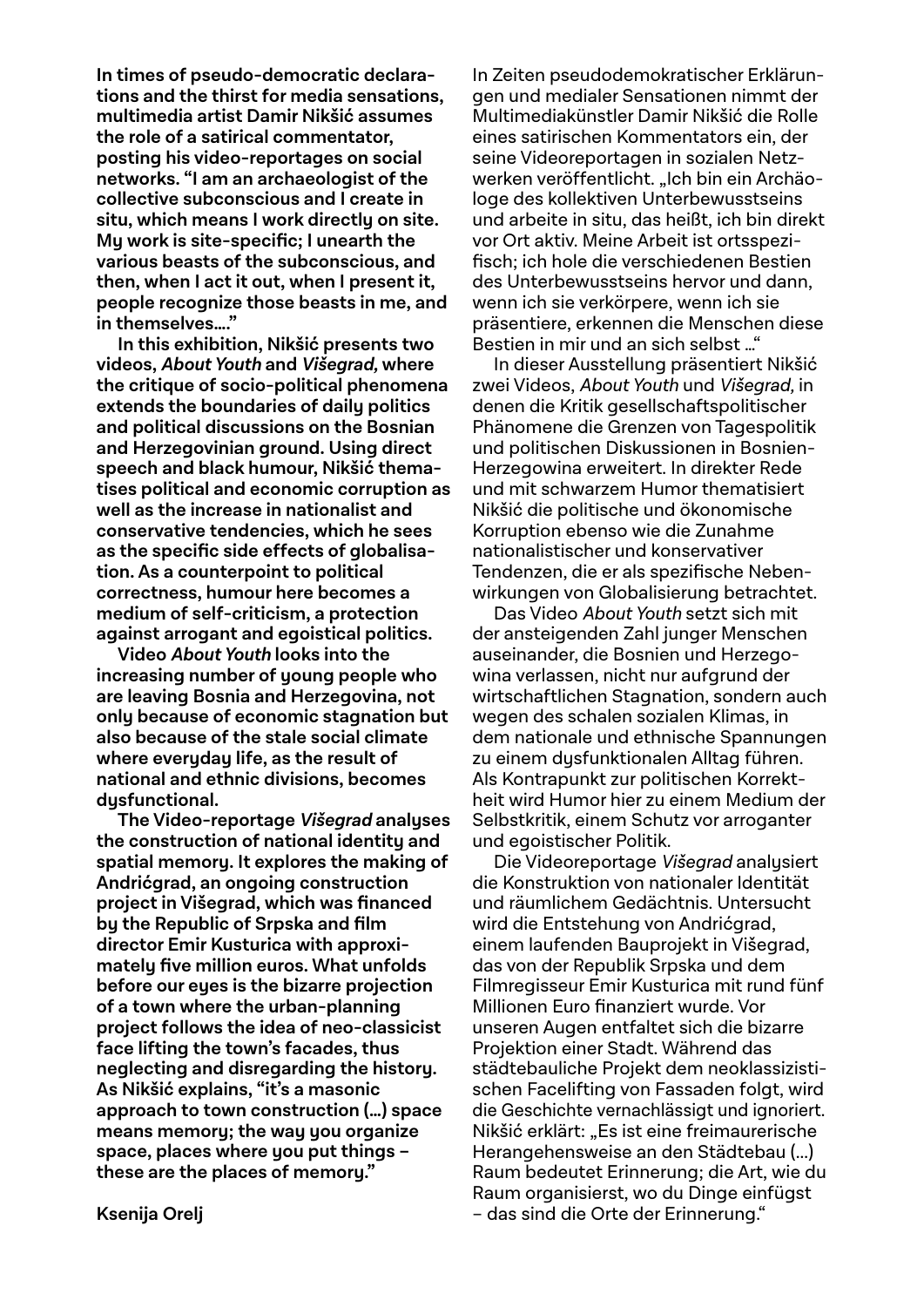**In times of pseudo-democratic declarations and the thirst for media sensations, multimedia artist Damir Nikšić assumes the role of a satirical commentator, posting his video-reportages on social networks. "I am an archaeologist of the collective subconscious and I create in situ, which means I work directly on site. My work is site-specific; I unearth the various beasts of the subconscious, and then, when I act it out, when I present it, people recognize those beasts in me, and in themselves…."** 

**In this exhibition, Nikšić presents two videos, About Youth and Višegrad, where the critique of socio-political phenomena extends the boundaries of daily politics and political discussions on the Bosnian and Herzegovinian ground. Using direct speech and black humour, Nikšić thematises political and economic corruption as well as the increase in nationalist and conservative tendencies, which he sees as the specific side effects of globalisation. As a counterpoint to political correctness, humour here becomes a medium of self-criticism, a protection against arrogant and egoistical politics.**

**Video About Youth looks into the increasing number of young people who are leaving Bosnia and Herzegovina, not only because of economic stagnation but also because of the stale social climate where everyday life, as the result of national and ethnic divisions, becomes dysfunctional.** 

**The Video-reportage Višegrad analyses the construction of national identity and spatial memory. It explores the making of Andrićgrad, an ongoing construction project in Višegrad, which was financed by the Republic of Srpska and film director Emir Kusturica with approximately five million euros. What unfolds before our eyes is the bizarre projection of a town where the urban-planning project follows the idea of neo-classicist face lifting the town's facades, thus neglecting and disregarding the history. As Nikšić explains, "it's a masonic approach to town construction (…) space means memory; the way you organize space, places where you put things – these are the places of memory."**

In Zeiten pseudodemokratischer Erklärungen und medialer Sensationen nimmt der Multimediakünstler Damir Nikšić die Rolle eines satirischen Kommentators ein, der seine Videoreportagen in sozialen Netzwerken veröffentlicht. "Ich bin ein Archäologe des kollektiven Unterbewusstseins und arbeite in situ, das heißt, ich bin direkt vor Ort aktiv. Meine Arbeit ist ortsspezifisch; ich hole die verschiedenen Bestien des Unterbewusstseins hervor und dann, wenn ich sie verkörpere, wenn ich sie präsentiere, erkennen die Menschen diese Bestien in mir und an sich selbst …"

In dieser Ausstellung präsentiert Nikšić zwei Videos, About Youth und Višegrad, in denen die Kritik gesellschaftspolitischer Phänomene die Grenzen von Tagespolitik und politischen Diskussionen in Bosnien-Herzegowina erweitert. In direkter Rede und mit schwarzem Humor thematisiert Nikšić die politische und ökonomische Korruption ebenso wie die Zunahme nationalistischer und konservativer Tendenzen, die er als spezifische Nebenwirkungen von Globalisierung betrachtet.

Das Video About Youth setzt sich mit der ansteigenden Zahl junger Menschen auseinander, die Bosnien und Herzegowina verlassen, nicht nur aufgrund der wirtschaftlichen Stagnation, sondern auch wegen des schalen sozialen Klimas, in dem nationale und ethnische Spannungen zu einem dysfunktionalen Alltag führen. Als Kontrapunkt zur politischen Korrektheit wird Humor hier zu einem Medium der Selbstkritik, einem Schutz vor arroganter und egoistischer Politik.

Die Videoreportage Višegrad analysiert die Konstruktion von nationaler Identität und räumlichem Gedächtnis. Untersucht wird die Entstehung von Andrićgrad, einem laufenden Bauprojekt in Višegrad, das von der Republik Srpska und dem Filmregisseur Emir Kusturica mit rund fünf Millionen Euro finanziert wurde. Vor unseren Augen entfaltet sich die bizarre Projektion einer Stadt. Während das städtebauliche Projekt dem neoklassizistischen Facelifting von Fassaden folgt, wird die Geschichte vernachlässigt und ignoriert. Nikšić erklärt: "Es ist eine freimaurerische Herangehensweise an den Städtebau (...) Raum bedeutet Erinnerung; die Art, wie du Raum organisierst, wo du Dinge einfügst – das sind die Orte der Erinnerung."

**Ksenija Orelj**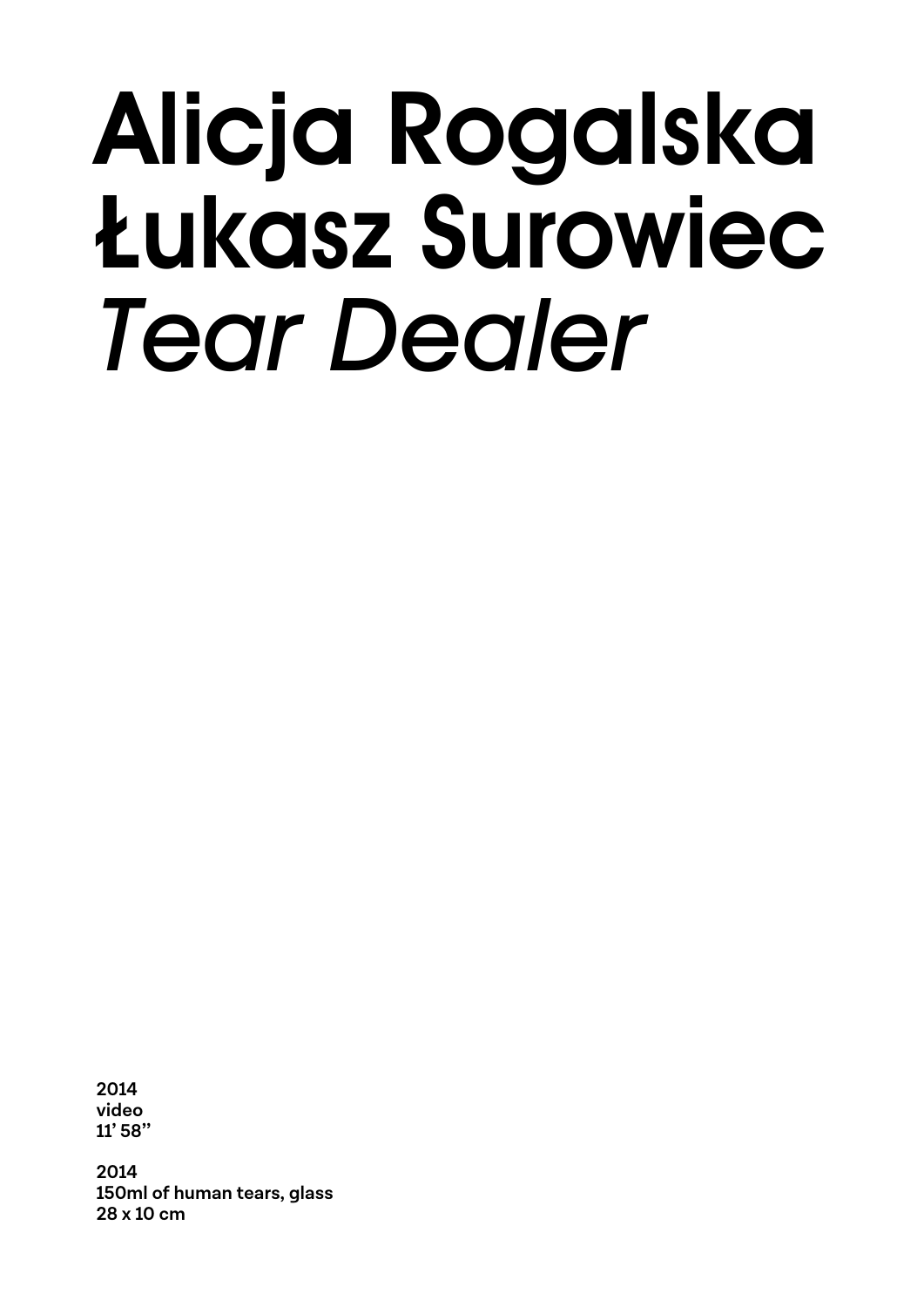### Alicja Rogalska Łukasz Surowiec *Tear Dealer*

**2014 video 11' 58''**

**2014 150ml of human tears, glass 28 x 10 cm**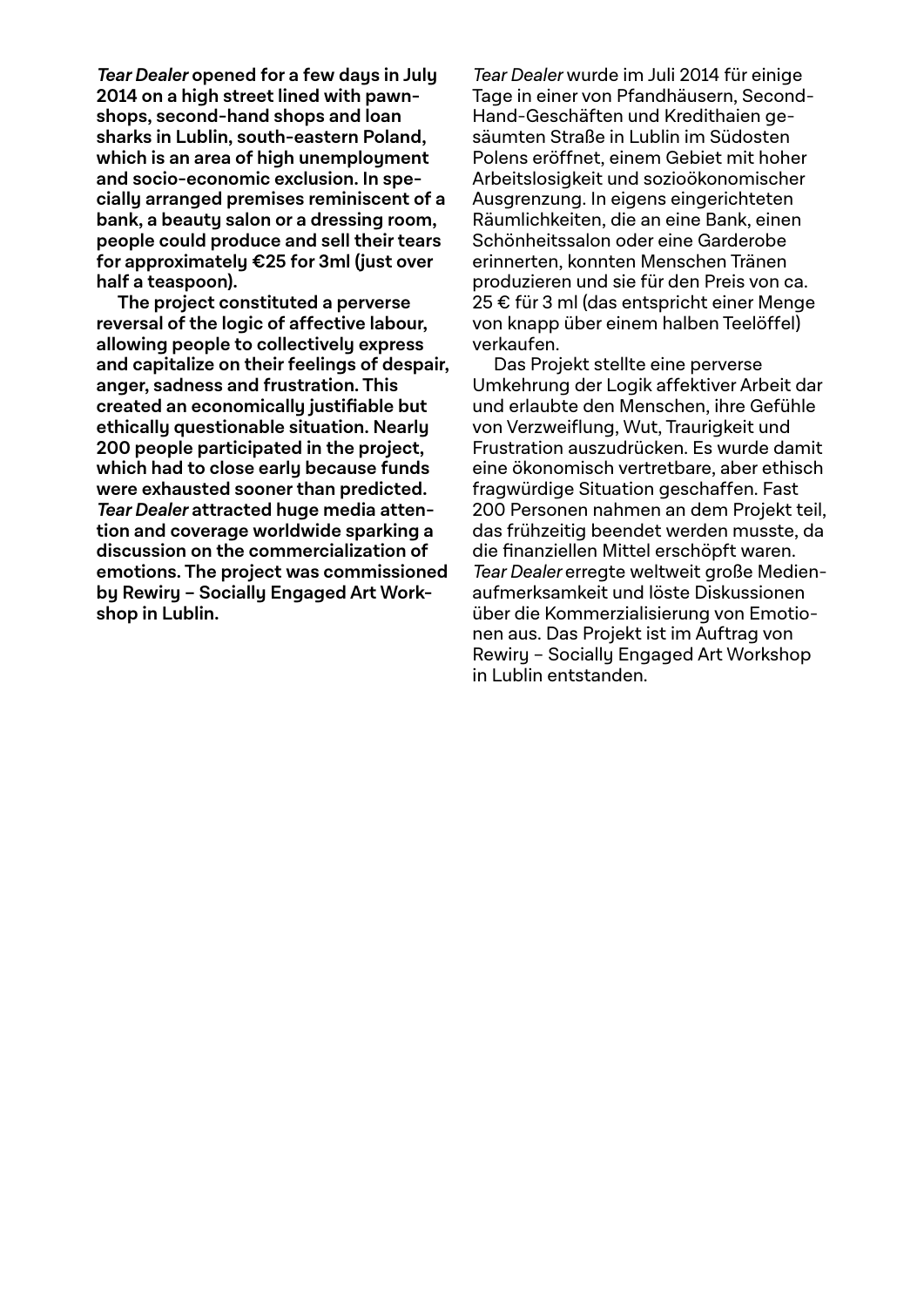**Tear Dealer opened for a few days in July 2014 on a high street lined with pawnshops, second-hand shops and loan sharks in Lublin, south-eastern Poland, which is an area of high unemployment and socio-economic exclusion. In specially arranged premises reminiscent of a bank, a beauty salon or a dressing room, people could produce and sell their tears for approximately €25 for 3ml (just over half a teaspoon).** 

**The project constituted a perverse reversal of the logic of affective labour, allowing people to collectively express and capitalize on their feelings of despair, anger, sadness and frustration. This created an economically justifiable but ethically questionable situation. Nearly 200 people participated in the project, which had to close early because funds were exhausted sooner than predicted. Tear Dealer attracted huge media attention and coverage worldwide sparking a discussion on the commercialization of emotions. The project was commissioned by Rewiry – Socially Engaged Art Workshop in Lublin.**

Tear Dealer wurde im Juli 2014 für einige Tage in einer von Pfandhäusern, Second-Hand-Geschäften und Kredithaien gesäumten Straße in Lublin im Südosten Polens eröffnet, einem Gebiet mit hoher Arbeitslosigkeit und sozioökonomischer Ausgrenzung. In eigens eingerichteten Räumlichkeiten, die an eine Bank, einen Schönheitssalon oder eine Garderobe erinnerten, konnten Menschen Tränen produzieren und sie für den Preis von ca. 25 € für 3 ml (das entspricht einer Menge von knapp über einem halben Teelöffel) verkaufen.

Das Projekt stellte eine perverse Um kehrung der Logik affektiver Arbeit dar und erlaubte den Menschen, ihre Gefühle von Verzweiflung, Wut, Traurigkeit und Frustration auszudrücken. Es wurde damit eine ökonomisch vertretbare, aber ethisch fragwürdige Situation geschaffen. Fast 200 Personen nahmen an dem Projekt teil, das frühzeitig beendet werden musste, da die finanziellen Mittel erschöpft waren. Tear Dealer erregte weltweit große Medienaufmerksamkeit und löste Diskussionen über die Kommerzialisierung von Emotionen aus. Das Projekt ist im Auftrag von Rewiry – Socially Engaged Art Workshop in Lublin entstanden.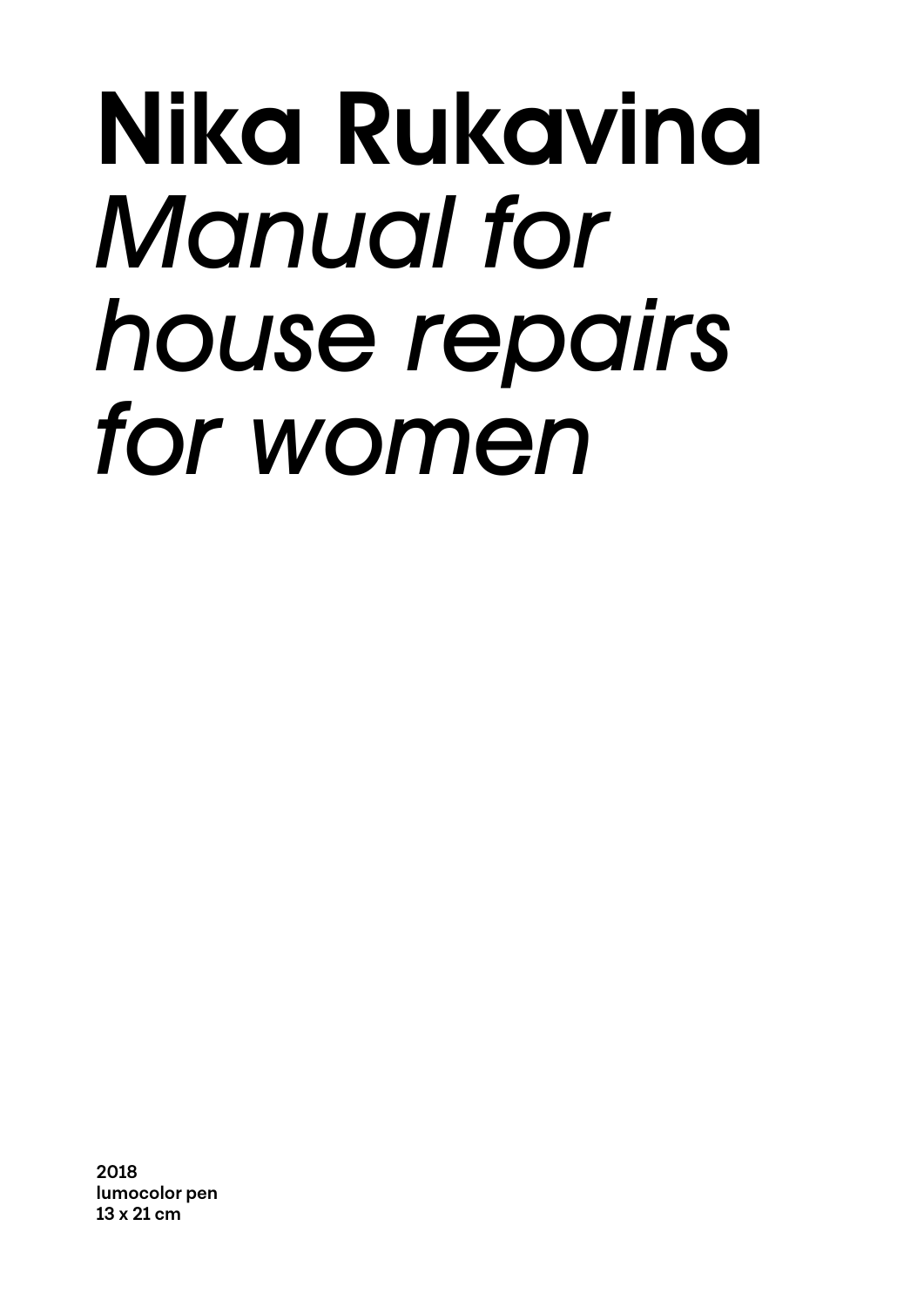### Nika Rukavina *Manual for house repairs*  for women

**2018 lumocolor pen 13 x 21 cm**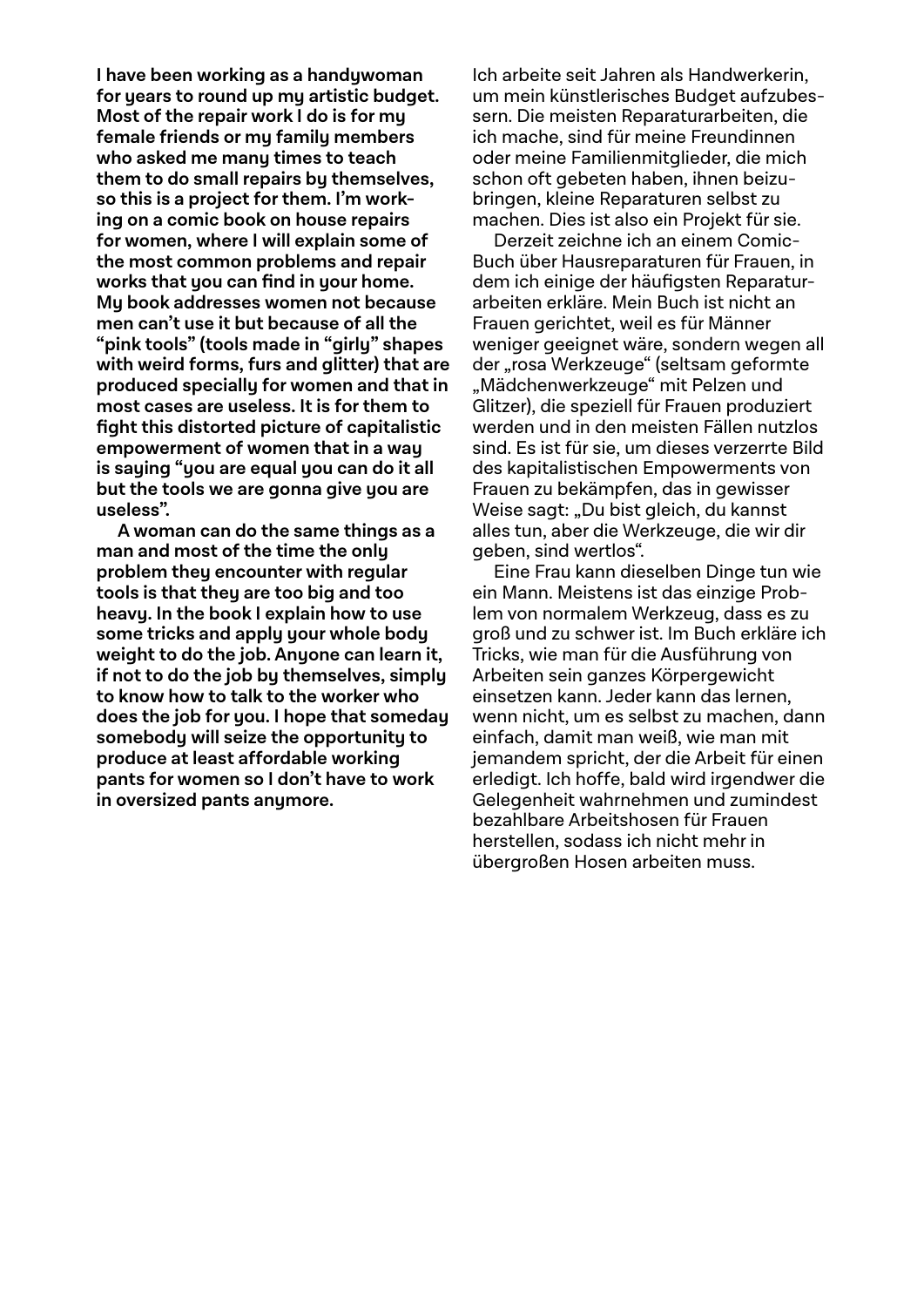**I have been working as a handywoman for years to round up my artistic budget. Most of the repair work I do is for my female friends or my family members who asked me many times to teach them to do small repairs by themselves, so this is a project for them. I'm working on a comic book on house repairs for women, where I will explain some of the most common problems and repair**  works that you can find in your home. **My book addresses women not because men can't use it but because of all the "pink tools" (tools made in "girly" shapes with weird forms, furs and glitter) that are produced specially for women and that in most cases are useless. It is for them to fi ght this distorted picture of capitalistic empowerment of women that in a way is saying "you are equal you can do it all but the tools we are gonna give you are useless".**

**A woman can do the same things as a man and most of the time the only problem they encounter with regular tools is that they are too big and too heavy. In the book I explain how to use some tricks and apply your whole body weight to do the job. Anyone can learn it, if not to do the job by themselves, simply to know how to talk to the worker who does the job for you. I hope that someday somebody will seize the opportunity to produce at least affordable working pants for women so I don't have to work in oversized pants anymore.**

Ich arbeite seit Jahren als Handwerkerin, um mein künstlerisches Budget aufzubessern. Die meisten Reparaturarbeiten, die ich mache, sind für meine Freundinnen oder meine Familienmitglieder, die mich schon oft gebeten haben, ihnen beizubringen, kleine Reparaturen selbst zu machen. Dies ist also ein Projekt für sie.

Derzeit zeichne ich an einem Comic-Buch über Hausreparaturen für Frauen, in dem ich einige der häufigsten Reparaturarbeiten erkläre. Mein Buch ist nicht an Frauen gerichtet, weil es für Männer weniger geeignet wäre, sondern wegen all der "rosa Werkzeuge" (seltsam geformte "Mädchenwerkzeuge" mit Pelzen und Glitzer), die speziell für Frauen produziert werden und in den meisten Fällen nutzlos sind. Es ist für sie, um dieses verzerrte Bild des kapitalistischen Empowerments von Frauen zu bekämpfen, das in gewisser Weise sagt: "Du bist gleich, du kannst alles tun, aber die Werkzeuge, die wir dir geben, sind wertlos".

Eine Frau kann dieselben Dinge tun wie ein Mann. Meistens ist das einzige Problem von normalem Werkzeug, dass es zu groß und zu schwer ist. Im Buch erkläre ich Tricks, wie man für die Ausführung von Arbeiten sein ganzes Körpergewicht einsetzen kann. Jeder kann das lernen, wenn nicht, um es selbst zu machen, dann einfach, damit man weiß, wie man mit jemandem spricht, der die Arbeit für einen erledigt. Ich hoffe, bald wird irgendwer die Gelegenheit wahrnehmen und zumindest bezahlbare Arbeitshosen für Frauen herstellen, sodass ich nicht mehr in übergroßen Hosen arbeiten muss.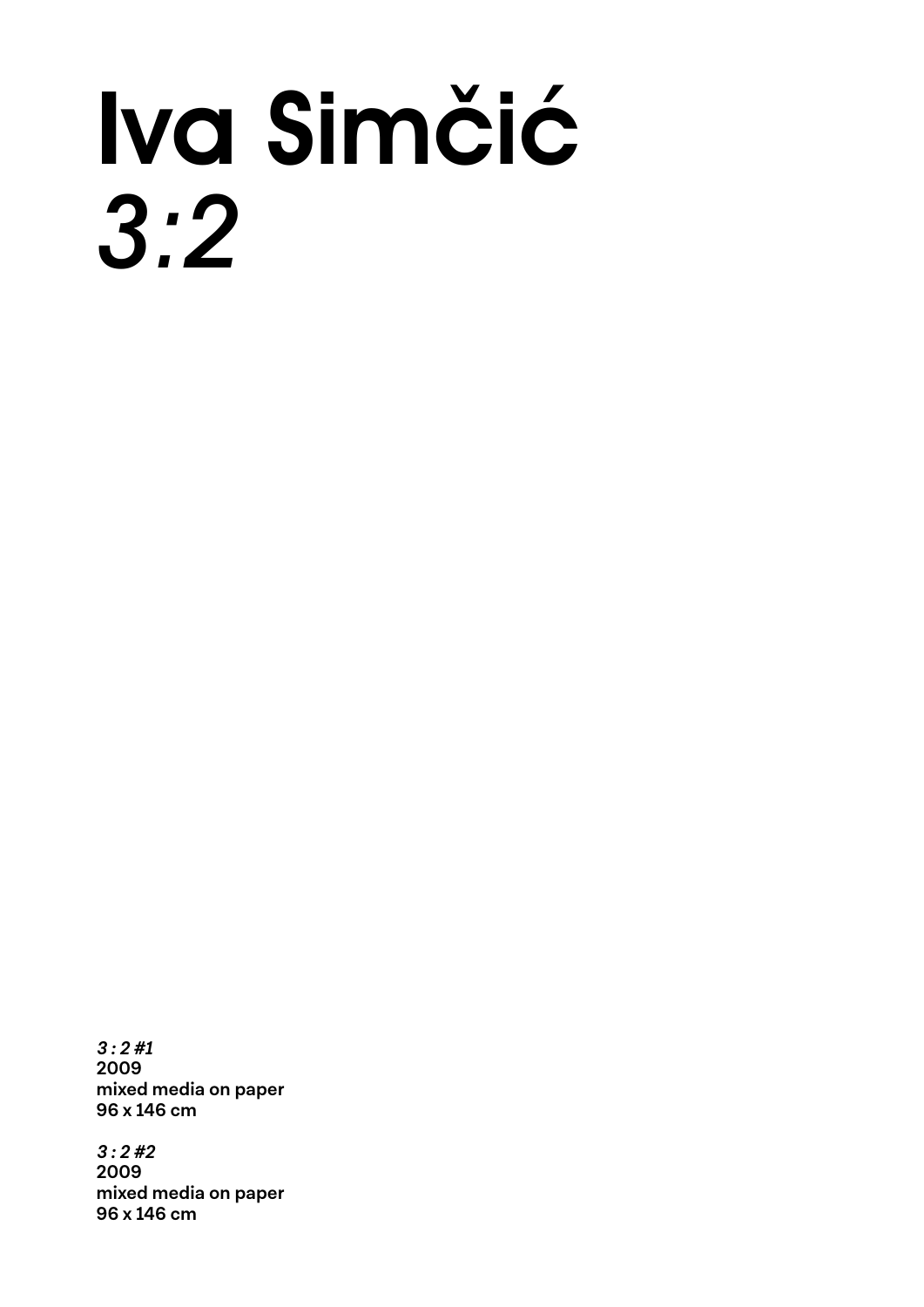## Iva Simčić *3:2*

**3 : 2 #1 2009 mixed media on paper 96 x 146 cm**

**3 : 2 #2 2009 mixed media on paper 96 x 146 cm**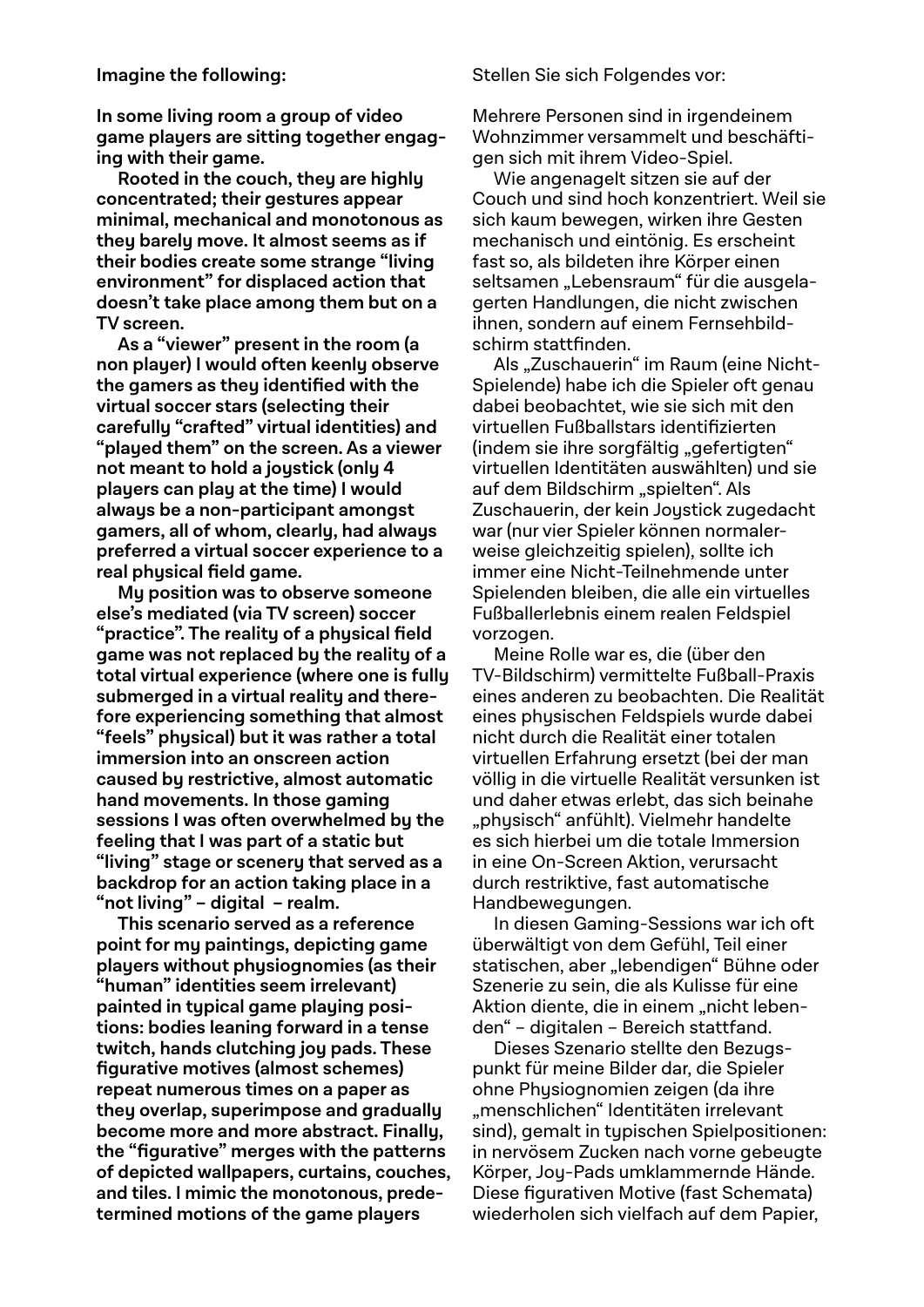**In some living room a group of video game players are sitting together engaging with their game.**

**Rooted in the couch, they are highly concentrated; their gestures appear minimal, mechanical and monotonous as they barely move. It almost seems as if their bodies create some strange "living environment" for displaced action that doesn't take place among them but on a TV screen.** 

**As a "viewer" present in the room (a non player) I would often keenly observe the gamers as they identified with the virtual soccer stars (selecting their carefully "crafted" virtual identities) and "played them" on the screen. As a viewer not meant to hold a joystick (only 4 players can play at the time) I would always be a non-participant amongst gamers, all of whom, clearly, had always preferred a virtual soccer experience to a real physical field game.** 

**My position was to observe someone else's mediated (via TV screen) soccer "practice". The reality of a physical field game was not replaced by the reality of a total virtual experience (where one is fully submerged in a virtual reality and therefore experiencing something that almost "feels" physical) but it was rather a total immersion into an onscreen action caused by restrictive, almost automatic hand movements. In those gaming sessions I was often overwhelmed by the feeling that I was part of a static but "living" stage or scenery that served as a backdrop for an action taking place in a "not living" – digital – realm.** 

**This scenario served as a reference point for my paintings, depicting game players without physiognomies (as their "human" identities seem irrelevant) painted in typical game playing positions: bodies leaning forward in a tense twitch, hands clutching joy pads. These figurative motives (almost schemes) repeat numerous times on a paper as they overlap, superimpose and gradually become more and more abstract. Finally, the "figurative" merges with the patterns of depicted wallpapers, curtains, couches, and tiles. I mimic the monotonous, predetermined motions of the game players** 

Stellen Sie sich Folgendes vor:

Mehrere Personen sind in irgendeinem Wohnzimmer versammelt und beschäftigen sich mit ihrem Video-Spiel.

Wie angenagelt sitzen sie auf der Couch und sind hoch konzentriert. Weil sie sich kaum bewegen, wirken ihre Gesten mechanisch und eintönig. Es erscheint fast so, als bildeten ihre Körper einen seltsamen "Lebensraum" für die ausgelagerten Handlungen, die nicht zwischen ihnen, sondern auf einem Fernsehbildschirm stattfinden.

Als "Zuschauerin" im Raum (eine Nicht-Spielende) habe ich die Spieler oft genau dabei beobachtet, wie sie sich mit den virtuellen Fußballstars identifizierten (indem sie ihre sorgfältig "gefertigten" virtuellen Identitäten auswählten) und sie auf dem Bildschirm "spielten". Als Zuschauerin, der kein Joystick zugedacht war (nur vier Spieler können normalerweise gleichzeitig spielen), sollte ich immer eine Nicht-Teilnehmende unter Spielenden bleiben, die alle ein virtuelles Fußballerlebnis einem realen Feldspiel vorzogen.

Meine Rolle war es, die (über den TV-Bildschirm) vermittelte Fußball-Praxis eines anderen zu beobachten. Die Realität eines physischen Feldspiels wurde dabei nicht durch die Realität einer totalen virtuellen Erfahrung ersetzt (bei der man völlig in die virtuelle Realität versunken ist und daher etwas erlebt, das sich beinahe "physisch" anfühlt). Vielmehr handelte es sich hierbei um die totale Immersion in eine On-Screen Aktion, verursacht durch restriktive, fast automatische Handbewegungen.

In diesen Gaming-Sessions war ich oft überwältigt von dem Gefühl, Teil einer statischen, aber "lebendigen" Bühne oder Szenerie zu sein, die als Kulisse für eine Aktion diente, die in einem "nicht lebenden" – digitalen – Bereich stattfand.

Dieses Szenario stellte den Bezugspunkt für meine Bilder dar, die Spieler ohne Physiognomien zeigen (da ihre "menschlichen" Identitäten irrelevant sind), gemalt in typischen Spielpositionen: in nervösem Zucken nach vorne gebeugte Körper, Joy-Pads umklammernde Hände. Diese figurativen Motive (fast Schemata) wiederholen sich vielfach auf dem Papier,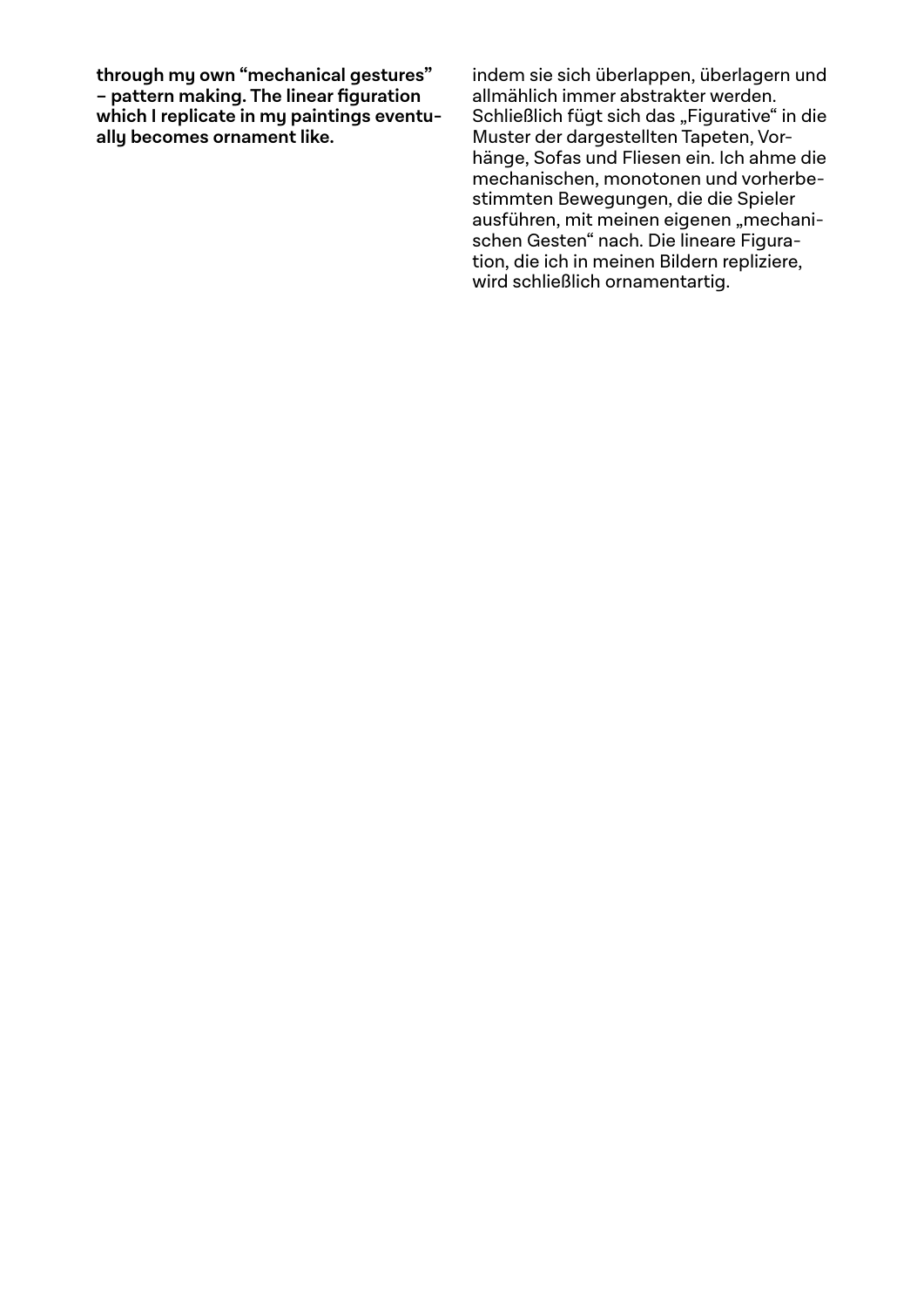**through my own "mechanical gestures" – pattern making. The linear figuration which I replicate in my paintings eventually becomes ornament like.** 

indem sie sich überlappen, überlagern und allmählich immer abstrakter werden. Schließlich fügt sich das "Figurative" in die Muster der dargestellten Tapeten, Vorhänge, Sofas und Fliesen ein. Ich ahme die mechanischen, monotonen und vorherbestimmten Bewegungen, die die Spieler ausführen, mit meinen eigenen "mechanischen Gesten" nach. Die lineare Figuration, die ich in meinen Bildern repliziere, wird schließlich ornamentartig.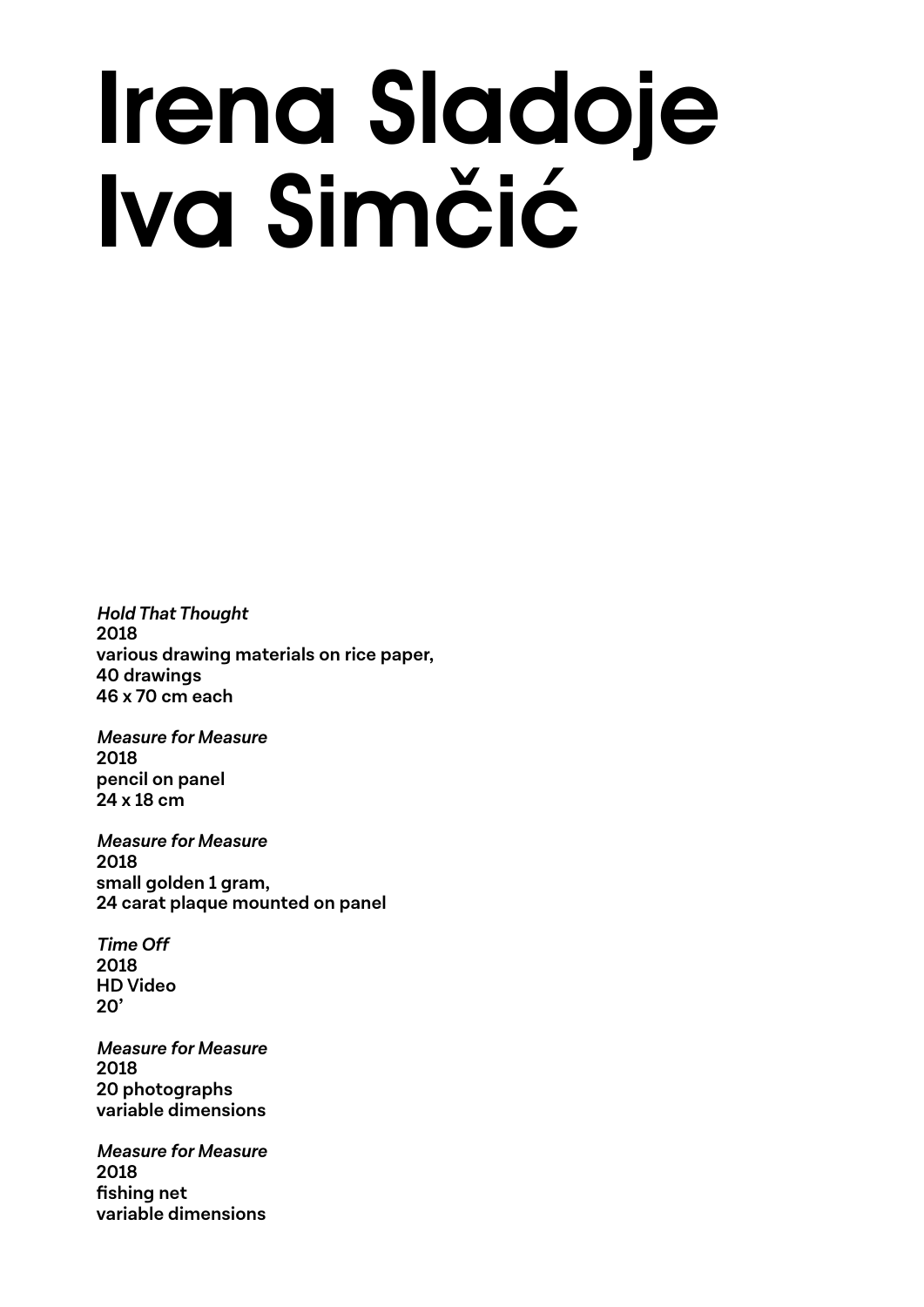### Irena Sladoje Iva Simčić

**Hold That Thought 2018 various drawing materials on rice paper, 40 drawings 46 x 70 cm each**

**Measure for Measure 2018 pencil on panel 24 x 18 cm**

**Measure for Measure 2018 small golden 1 gram, 24 carat plaque mounted on panel**

**Time Off 2018 HD Video 20'**

**Measure for Measure 2018 20 photographs variable dimensions**

**Measure for Measure 2018 fi shing net variable dimensions**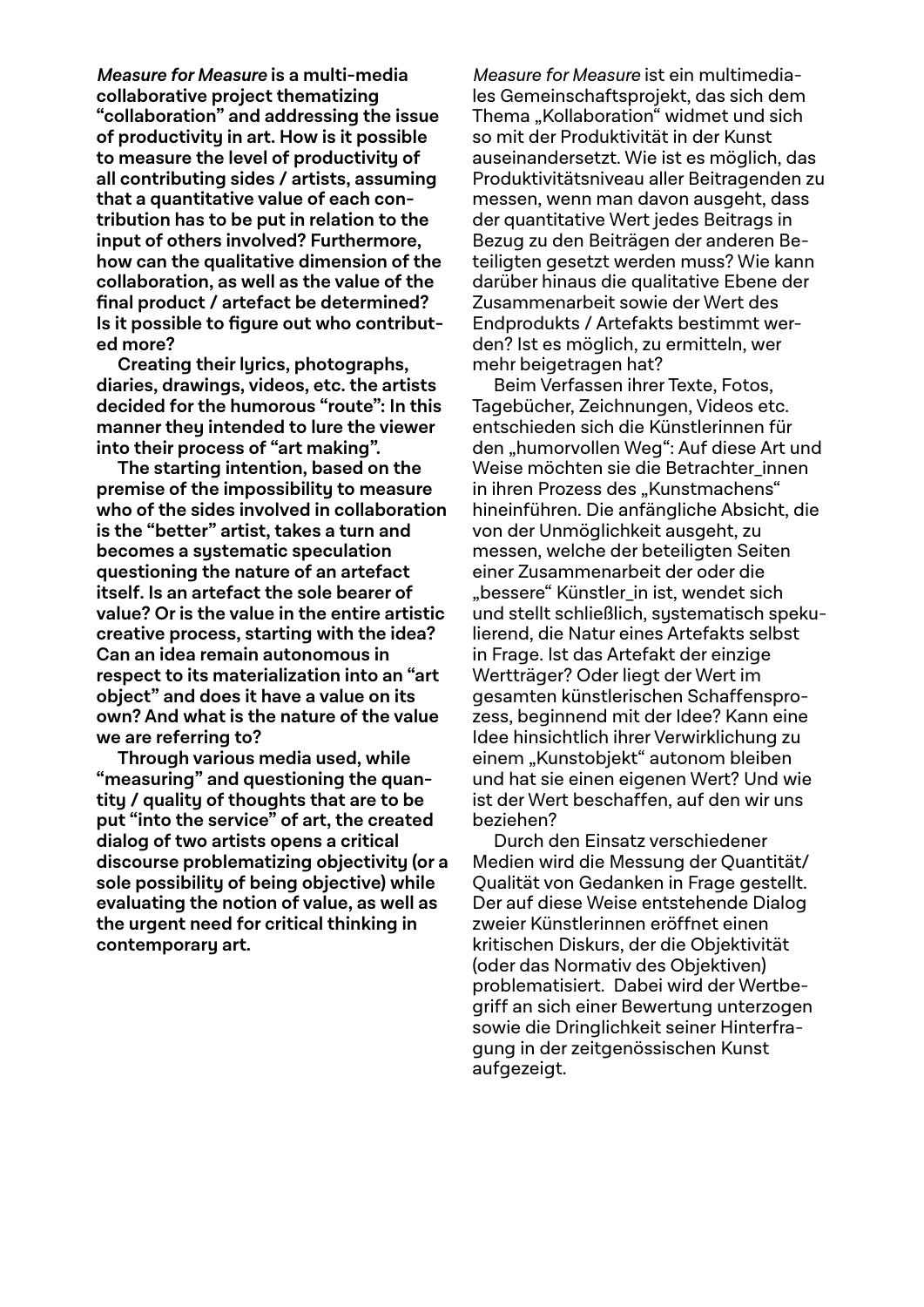**Measure for Measure is a multi-media collaborative project thematizing "collaboration" and addressing the issue of productivity in art. How is it possible to measure the level of productivity of all contributing sides / artists, assuming that a quantitative value of each contribution has to be put in relation to the input of others involved? Furthermore, how can the qualitative dimension of the collaboration, as well as the value of the fi nal product / artefact be determined?**  Is it possible to figure out who contribut**ed more?**

**Creating their lyrics, photographs, diaries, drawings, videos, etc. the artists decided for the humorous "route": In this manner they intended to lure the viewer into their process of "art making".**

**The starting intention, based on the premise of the impossibility to measure who of the sides involved in collaboration is the "better" artist, takes a turn and becomes a systematic speculation questioning the nature of an artefact itself. Is an artefact the sole bearer of value? Or is the value in the entire artistic creative process, starting with the idea? Can an idea remain autonomous in respect to its materialization into an "art object" and does it have a value on its own? And what is the nature of the value we are referring to?**

**Through various media used, while "measuring" and questioning the quantity / quality of thoughts that are to be put "into the service" of art, the created dialog of two artists opens a critical discourse problematizing objectivity (or a sole possibility of being objective) while evaluating the notion of value, as well as the urgent need for critical thinking in contemporary art.**

Measure for Measure ist ein multimediales Gemeinschaftsprojekt, das sich dem Thema "Kollaboration" widmet und sich so mit der Produktivität in der Kunst auseinandersetzt. Wie ist es möglich, das Produktivitätsniveau aller Beitragenden zu messen, wenn man davon ausgeht, dass der quantitative Wert jedes Beitrags in Bezug zu den Beiträgen der anderen Beteiligten gesetzt werden muss? Wie kann darüber hinaus die qualitative Ebene der Zusammenarbeit sowie der Wert des Endprodukts / Artefakts bestimmt werden? Ist es möglich, zu ermitteln, wer mehr beigetragen hat?

Beim Verfassen ihrer Texte, Fotos, Tagebücher, Zeichnungen, Videos etc. entschieden sich die Künstlerinnen für den "humorvollen Weg": Auf diese Art und Weise möchten sie die Betrachter innen in ihren Prozess des "Kunstmachens" hineinführen. Die anfängliche Absicht, die von der Unmöglichkeit ausgeht, zu messen, welche der beteiligten Seiten einer Zusammenarbeit der oder die "bessere" Künstler\_in ist, wendet sich und stellt schließlich, sustematisch spekulierend, die Natur eines Artefakts selbst in Frage. Ist das Artefakt der einzige Wertträger? Oder liegt der Wert im gesamten künstlerischen Schaffensprozess, beginnend mit der Idee? Kann eine Idee hinsichtlich ihrer Verwirklichung zu einem "Kunstobjekt" autonom bleiben und hat sie einen eigenen Wert? Und wie ist der Wert beschaffen, auf den wir uns beziehen?

Durch den Einsatz verschiedener Medien wird die Messung der Quantität/ Qualität von Gedanken in Frage gestellt. Der auf diese Weise entstehende Dialog zweier Künstlerinnen eröffnet einen kritischen Diskurs, der die Objektivität (oder das Normativ des Objektiven) problematisiert. Dabei wird der Wertbegriff an sich einer Bewertung unterzogen sowie die Dringlichkeit seiner Hinterfragung in der zeitgenössischen Kunst aufgezeigt.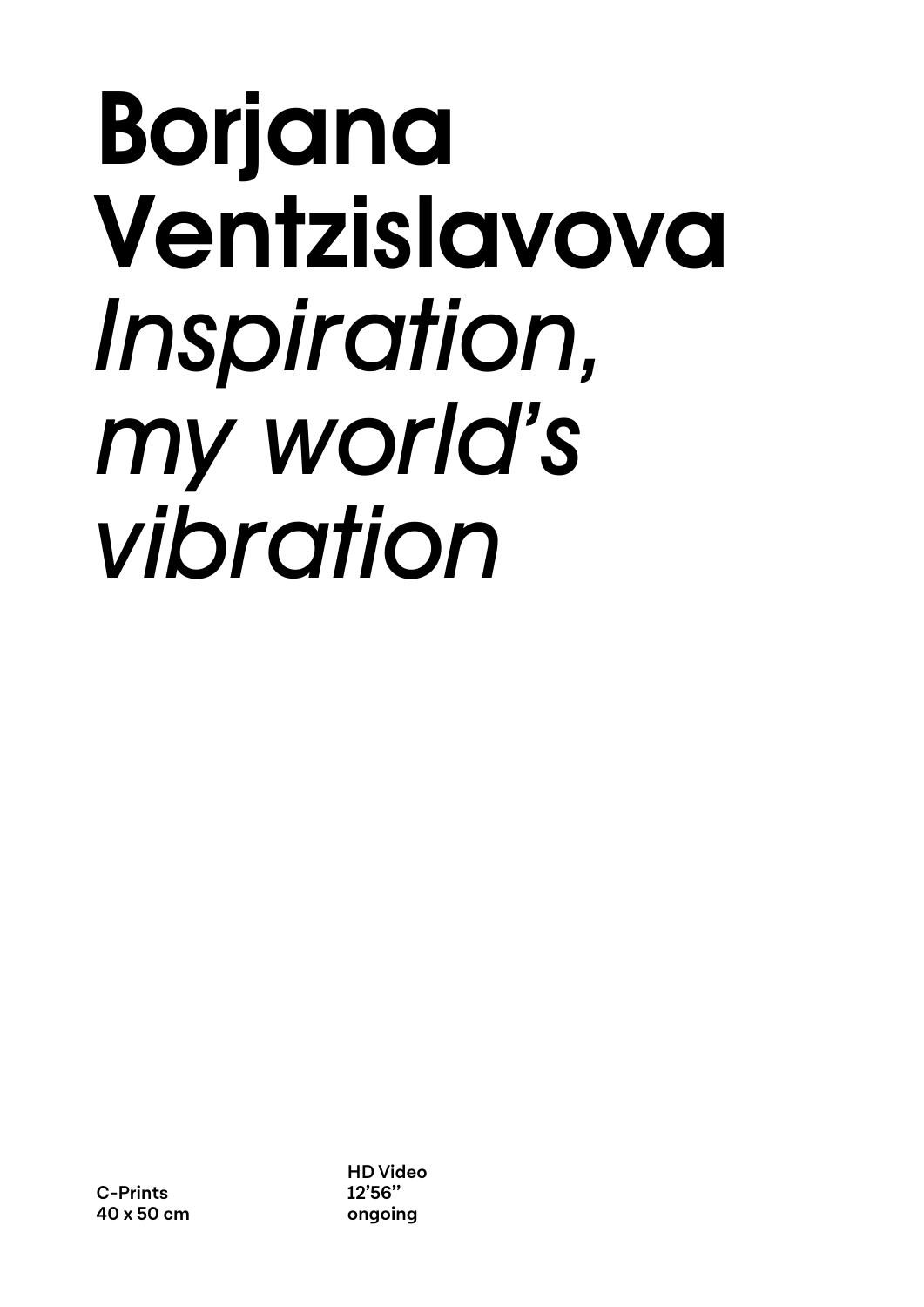### Borjana Ventzislavova *Inspiration, my world's vibration*

**HD Video 12'56'' ongoing**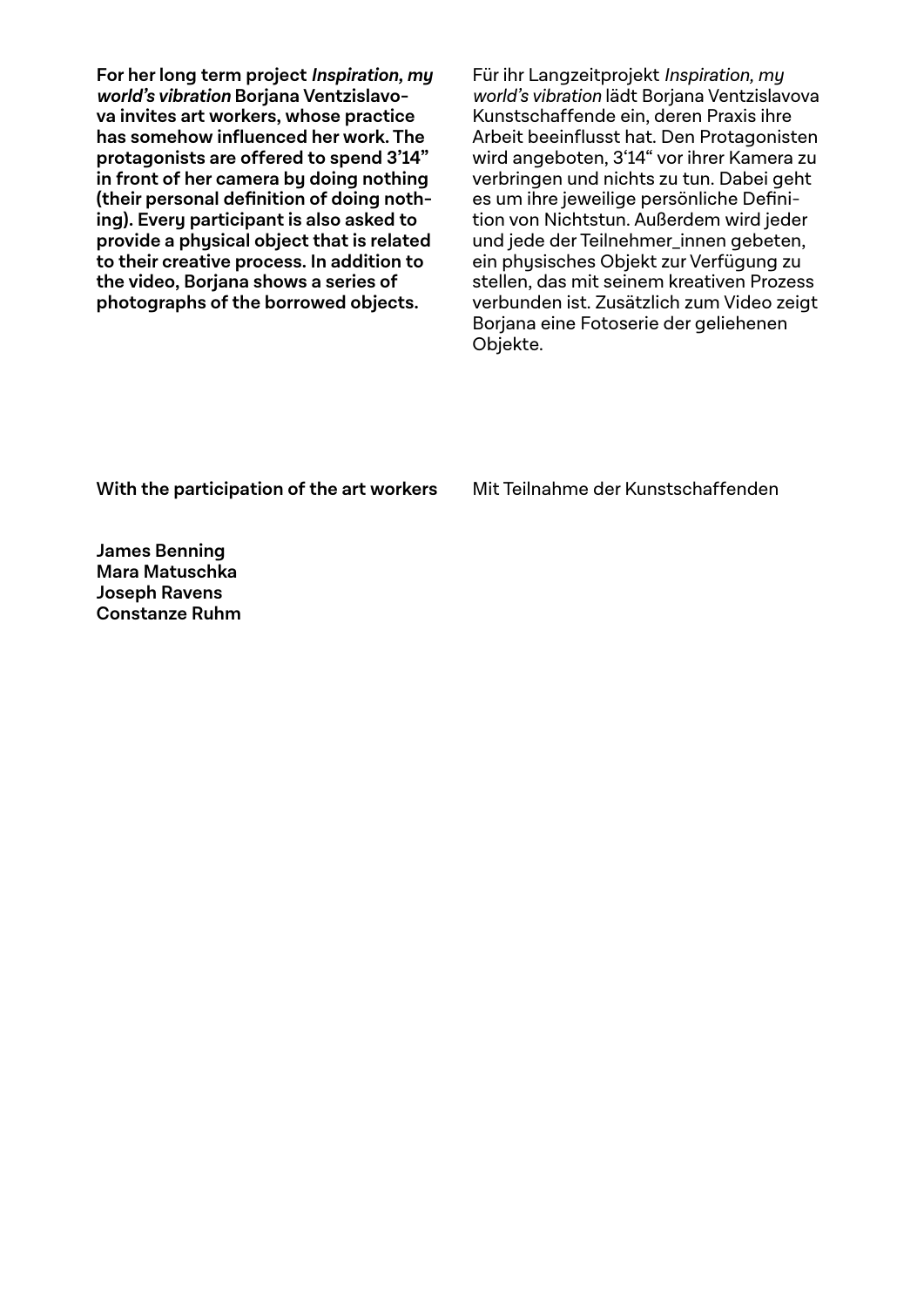**For her long term project Inspiration, my world's vibration Borjana Ventzislavova invites art workers, whose practice**  has somehow influenced her work. The **protagonists are offered to spend 3'14" in front of her camera by doing nothing**  (their personal definition of doing noth**ing). Every participant is also asked to provide a physical object that is related to their creative process. In addition to the video, Borjana shows a series of photographs of the borrowed objects.**

Für ihr Langzeitprojekt Inspiration, my world's vibration lädt Boriana Ventzislavova Kunstschaffende ein, deren Praxis ihre Arbeit beeinflusst hat. Den Protagonisten wird angeboten, 3'14" vor ihrer Kamera zu verbringen und nichts zu tun. Dabei geht es um ihre jeweilige persönliche Definition von Nichtstun. Außerdem wird jeder und jede der Teilnehmer\_innen gebeten, ein physisches Objekt zur Verfügung zu stellen, das mit seinem kreativen Prozess verbunden ist. Zusätzlich zum Video zeigt Borjana eine Fotoserie der geliehenen Objekte.

**With the participation of the art workers**

Mit Teilnahme der Kunstschaffenden

**James Benning Mara Matuschka Joseph Ravens Constanze Ruhm**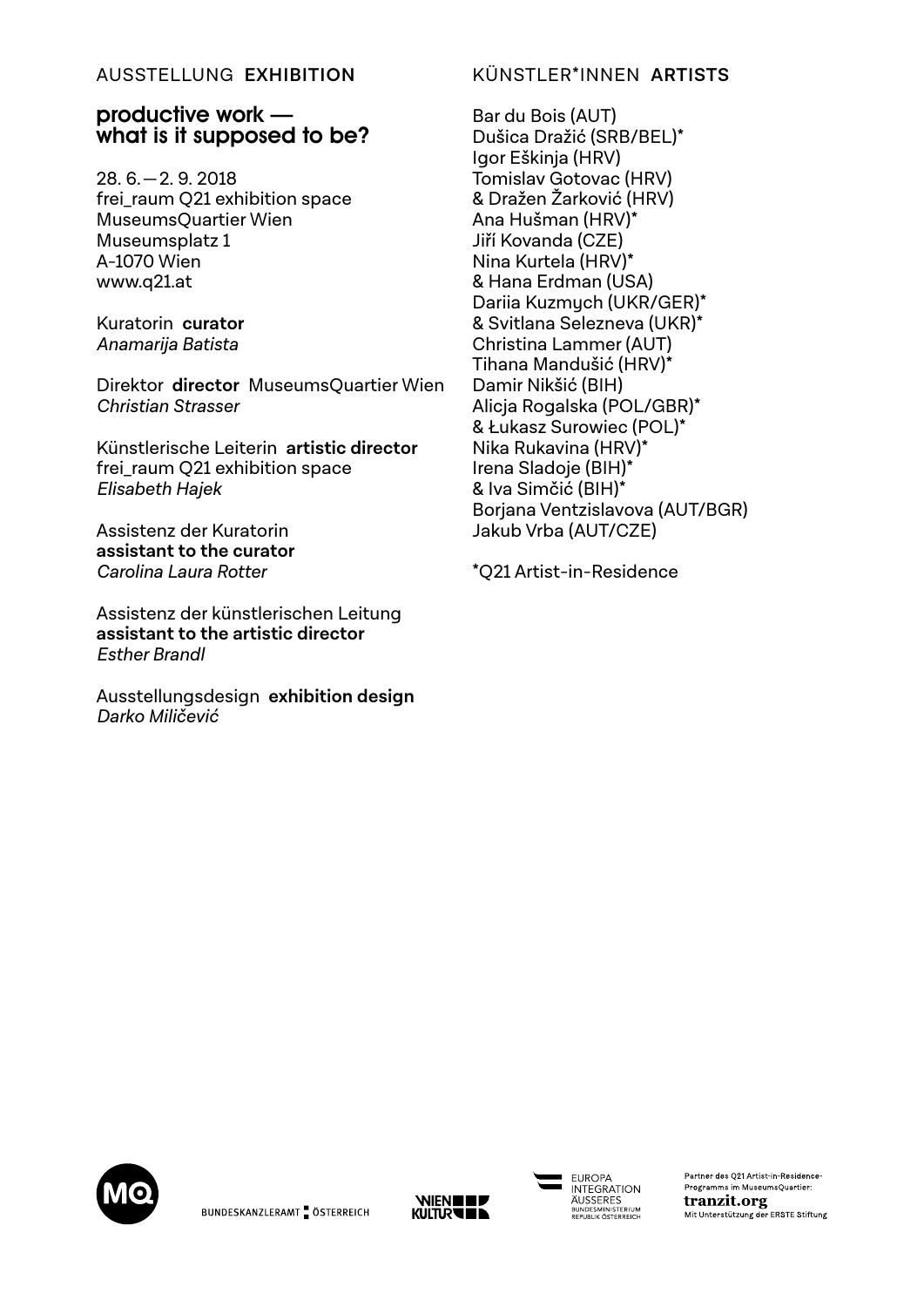### AUSSTELLUNG **EXHIBITION**

### productive work what is it supposed to be?

28. 6. — 2. 9. 2018 frei\_raum Q21 exhibition space MuseumsQuartier Wien Museumsplatz 1 A-1070 Wien www.q21.at

Kuratorin **curator** Anamarija Batista

Direktor **director** MuseumsQuartier Wien Christian Strasser

Künstlerische Leiterin **artistic director** frei raum O21 exhibition space Elisabeth Hajek

Assistenz der Kuratorin **assistant to the curator** Carolina Laura Rotter

Assistenz der künstlerischen Leitung **assistant to the artistic director** Esther Brandl

Ausstellungsdesign **exhibition design** Darko Miličević

### KÜNSTLER\*INNEN **ARTISTS**

Bar du Bois (AUT) Dušica Dražić (SRB/BEL)\* Igor Eškinja (HRV) Tomislav Gotovac (HRV) & Dražen Žarković (HRV) Ana Hušman (HRV)\* Jiří Kovanda (CZE) Nina Kurtela (HRV)\* & Hana Erdman (USA) Dariia Kuzmych (UKR/GER)\* & Svitlana Selezneva (UKR)\* Christina Lammer (AUT) Tihana Mandušić (HRV)\* Damir Nikšić (BIH) Alicja Rogalska (POL/GBR)\* & Łukasz Surowiec (POL)\* Nika Rukavina (HRV)\* Irena Sladoje (BIH)\* & Iva Simčić (BIH)\* Borjana Ventzislavova (AUT/BGR) Jakub Vrba (AUT/CZE)

\*Q21 Artist-in-Residence





**FUROPA INTEGRATION ÄUSSERES** BUNDESMINISTERIUM

Partner des Q21 Artist-in-Residence-Programms im MuseumsOuartier: tranzit.org Mit Unterstützung der ERSTE Stiftung